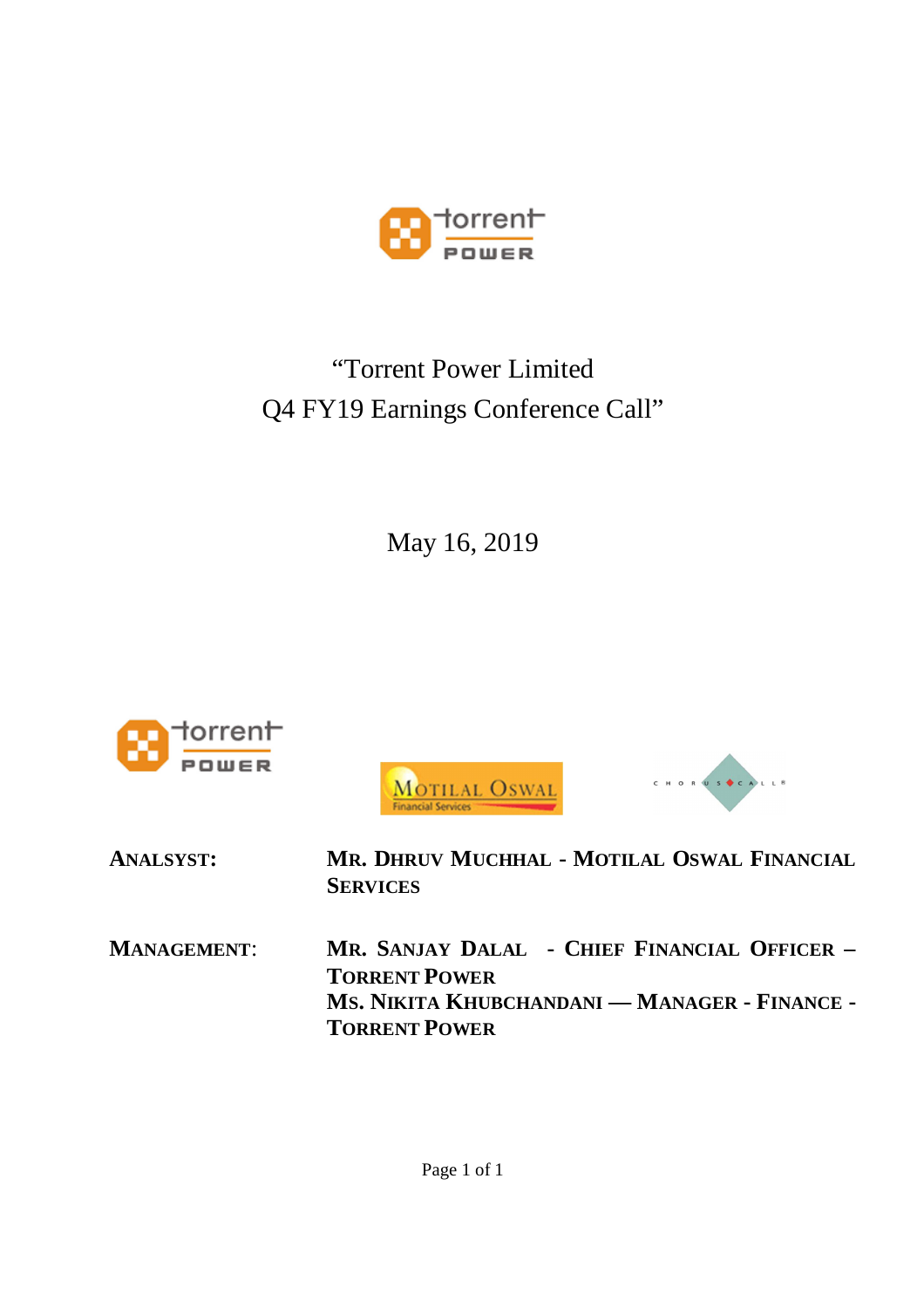

# "Torrent Power Limited Q4 FY19 Earnings Conference Call"

May 16, 2019







| <b>ANALSYST:</b>   | MR. DHRUV MUCHHAL - MOTILAL OSWAL FINANCIAL<br><b>SERVICES</b>       |
|--------------------|----------------------------------------------------------------------|
| <b>MANAGEMENT:</b> | MR. SANJAY DALAL - CHIEF FINANCIAL OFFICER -<br><b>TORRENT POWER</b> |
|                    | MS. NIKITA KHUBCHANDANI — MANAGER - FINANCE -                        |
|                    | <b>TORRENT POWER</b>                                                 |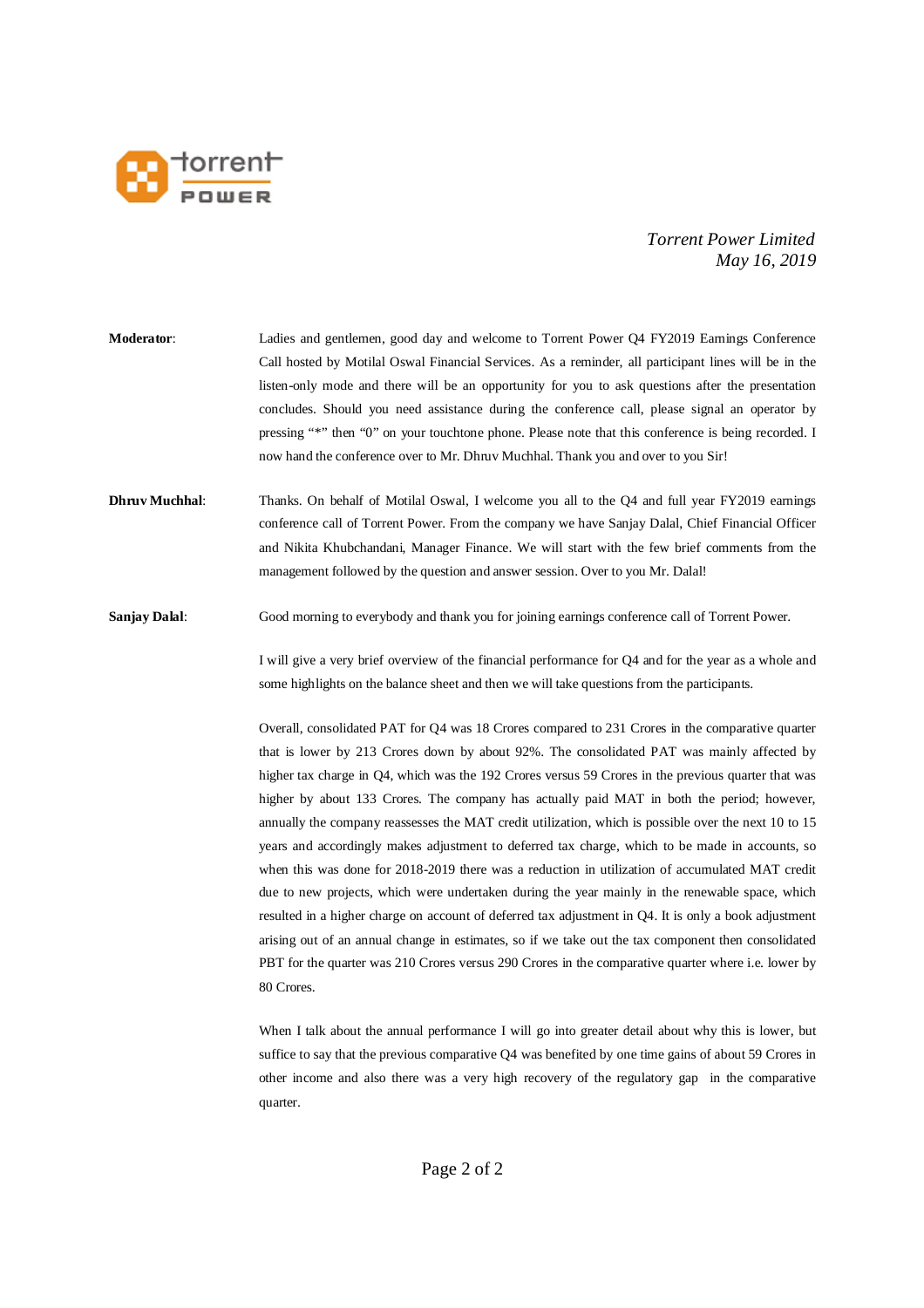

- **Moderator**: Ladies and gentlemen, good day and welcome to Torrent Power Q4 FY2019 Earnings Conference Call hosted by Motilal Oswal Financial Services. As a reminder, all participant lines will be in the listen-only mode and there will be an opportunity for you to ask questions after the presentation concludes. Should you need assistance during the conference call, please signal an operator by pressing "\*" then "0" on your touchtone phone. Please note that this conference is being recorded. I now hand the conference over to Mr. Dhruv Muchhal. Thank you and over to you Sir!
- **Dhruv Muchhal:** Thanks. On behalf of Motilal Oswal, I welcome you all to the Q4 and full year FY2019 earnings conference call of Torrent Power. From the company we have Sanjay Dalal, Chief Financial Officer and Nikita Khubchandani, Manager Finance. We will start with the few brief comments from the management followed by the question and answer session. Over to you Mr. Dalal!
- **Sanjay Dalal:** Good morning to everybody and thank you for joining earnings conference call of Torrent Power.

I will give a very brief overview of the financial performance for Q4 and for the year as a whole and some highlights on the balance sheet and then we will take questions from the participants.

Overall, consolidated PAT for Q4 was 18 Crores compared to 231 Crores in the comparative quarter that is lower by 213 Crores down by about 92%. The consolidated PAT was mainly affected by higher tax charge in Q4, which was the 192 Crores versus 59 Crores in the previous quarter that was higher by about 133 Crores. The company has actually paid MAT in both the period; however, annually the company reassesses the MAT credit utilization, which is possible over the next 10 to 15 years and accordingly makes adjustment to deferred tax charge, which to be made in accounts, so when this was done for 2018-2019 there was a reduction in utilization of accumulated MAT credit due to new projects, which were undertaken during the year mainly in the renewable space, which resulted in a higher charge on account of deferred tax adjustment in Q4. It is only a book adjustment arising out of an annual change in estimates, so if we take out the tax component then consolidated PBT for the quarter was 210 Crores versus 290 Crores in the comparative quarter where i.e. lower by 80 Crores.

When I talk about the annual performance I will go into greater detail about why this is lower, but suffice to say that the previous comparative Q4 was benefited by one time gains of about 59 Crores in other income and also there was a very high recovery of the regulatory gap in the comparative quarter.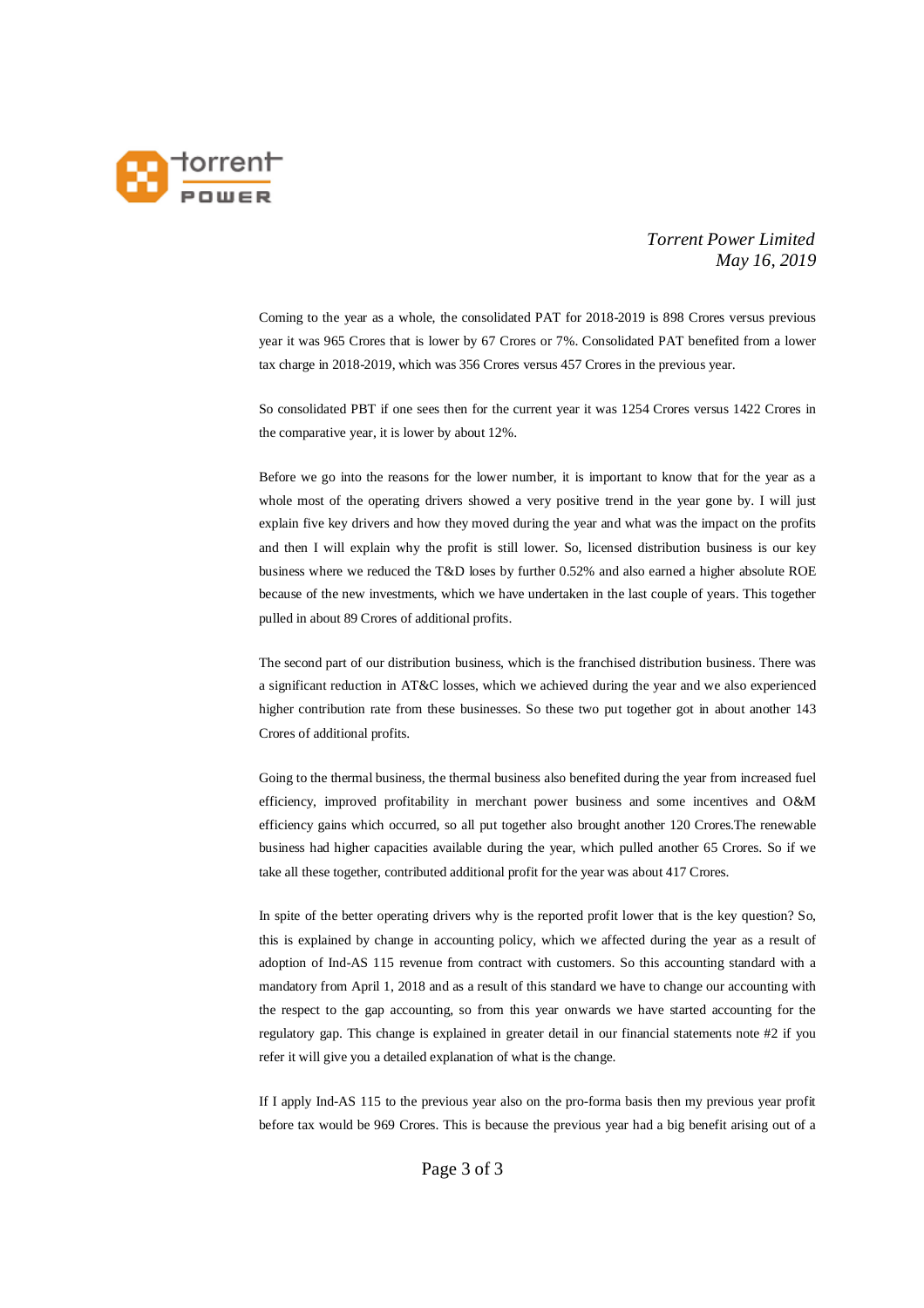

Coming to the year as a whole, the consolidated PAT for 2018-2019 is 898 Crores versus previous year it was 965 Crores that is lower by 67 Crores or 7%. Consolidated PAT benefited from a lower tax charge in 2018-2019, which was 356 Crores versus 457 Crores in the previous year.

So consolidated PBT if one sees then for the current year it was 1254 Crores versus 1422 Crores in the comparative year, it is lower by about 12%.

Before we go into the reasons for the lower number, it is important to know that for the year as a whole most of the operating drivers showed a very positive trend in the year gone by. I will just explain five key drivers and how they moved during the year and what was the impact on the profits and then I will explain why the profit is still lower. So, licensed distribution business is our key business where we reduced the T&D loses by further 0.52% and also earned a higher absolute ROE because of the new investments, which we have undertaken in the last couple of years. This together pulled in about 89 Crores of additional profits.

The second part of our distribution business, which is the franchised distribution business. There was a significant reduction in AT&C losses, which we achieved during the year and we also experienced higher contribution rate from these businesses. So these two put together got in about another 143 Crores of additional profits.

Going to the thermal business, the thermal business also benefited during the year from increased fuel efficiency, improved profitability in merchant power business and some incentives and O&M efficiency gains which occurred, so all put together also brought another 120 Crores.The renewable business had higher capacities available during the year, which pulled another 65 Crores. So if we take all these together, contributed additional profit for the year was about 417 Crores.

In spite of the better operating drivers why is the reported profit lower that is the key question? So, this is explained by change in accounting policy, which we affected during the year as a result of adoption of Ind-AS 115 revenue from contract with customers. So this accounting standard with a mandatory from April 1, 2018 and as a result of this standard we have to change our accounting with the respect to the gap accounting, so from this year onwards we have started accounting for the regulatory gap. This change is explained in greater detail in our financial statements note #2 if you refer it will give you a detailed explanation of what is the change.

If I apply Ind-AS 115 to the previous year also on the pro-forma basis then my previous year profit before tax would be 969 Crores. This is because the previous year had a big benefit arising out of a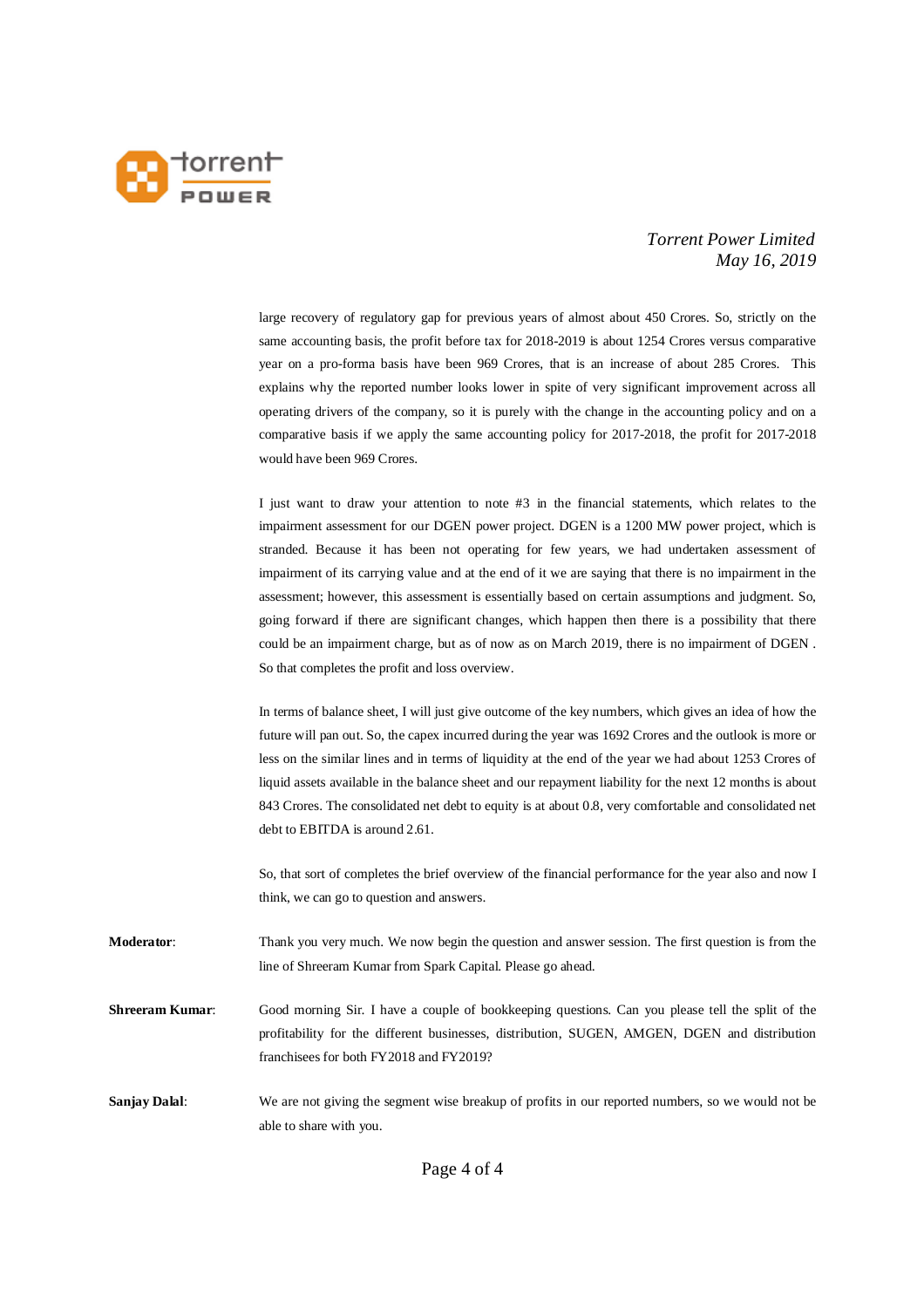

large recovery of regulatory gap for previous years of almost about 450 Crores. So, strictly on the same accounting basis, the profit before tax for 2018-2019 is about 1254 Crores versus comparative year on a pro-forma basis have been 969 Crores, that is an increase of about 285 Crores. This explains why the reported number looks lower in spite of very significant improvement across all operating drivers of the company, so it is purely with the change in the accounting policy and on a comparative basis if we apply the same accounting policy for 2017-2018, the profit for 2017-2018 would have been 969 Crores.

I just want to draw your attention to note #3 in the financial statements, which relates to the impairment assessment for our DGEN power project. DGEN is a 1200 MW power project, which is stranded. Because it has been not operating for few years, we had undertaken assessment of impairment of its carrying value and at the end of it we are saying that there is no impairment in the assessment; however, this assessment is essentially based on certain assumptions and judgment. So, going forward if there are significant changes, which happen then there is a possibility that there could be an impairment charge, but as of now as on March 2019, there is no impairment of DGEN . So that completes the profit and loss overview.

In terms of balance sheet, I will just give outcome of the key numbers, which gives an idea of how the future will pan out. So, the capex incurred during the year was 1692 Crores and the outlook is more or less on the similar lines and in terms of liquidity at the end of the year we had about 1253 Crores of liquid assets available in the balance sheet and our repayment liability for the next 12 months is about 843 Crores. The consolidated net debt to equity is at about 0.8, very comfortable and consolidated net debt to EBITDA is around 2.61.

So, that sort of completes the brief overview of the financial performance for the year also and now I think, we can go to question and answers.

**Moderator**: Thank you very much. We now begin the question and answer session. The first question is from the line of Shreeram Kumar from Spark Capital. Please go ahead.

**Shreeram Kumar:** Good morning Sir. I have a couple of bookkeeping questions. Can you please tell the split of the profitability for the different businesses, distribution, SUGEN, AMGEN, DGEN and distribution franchisees for both FY2018 and FY2019?

**Sanjay Dalal:** We are not giving the segment wise breakup of profits in our reported numbers, so we would not be able to share with you.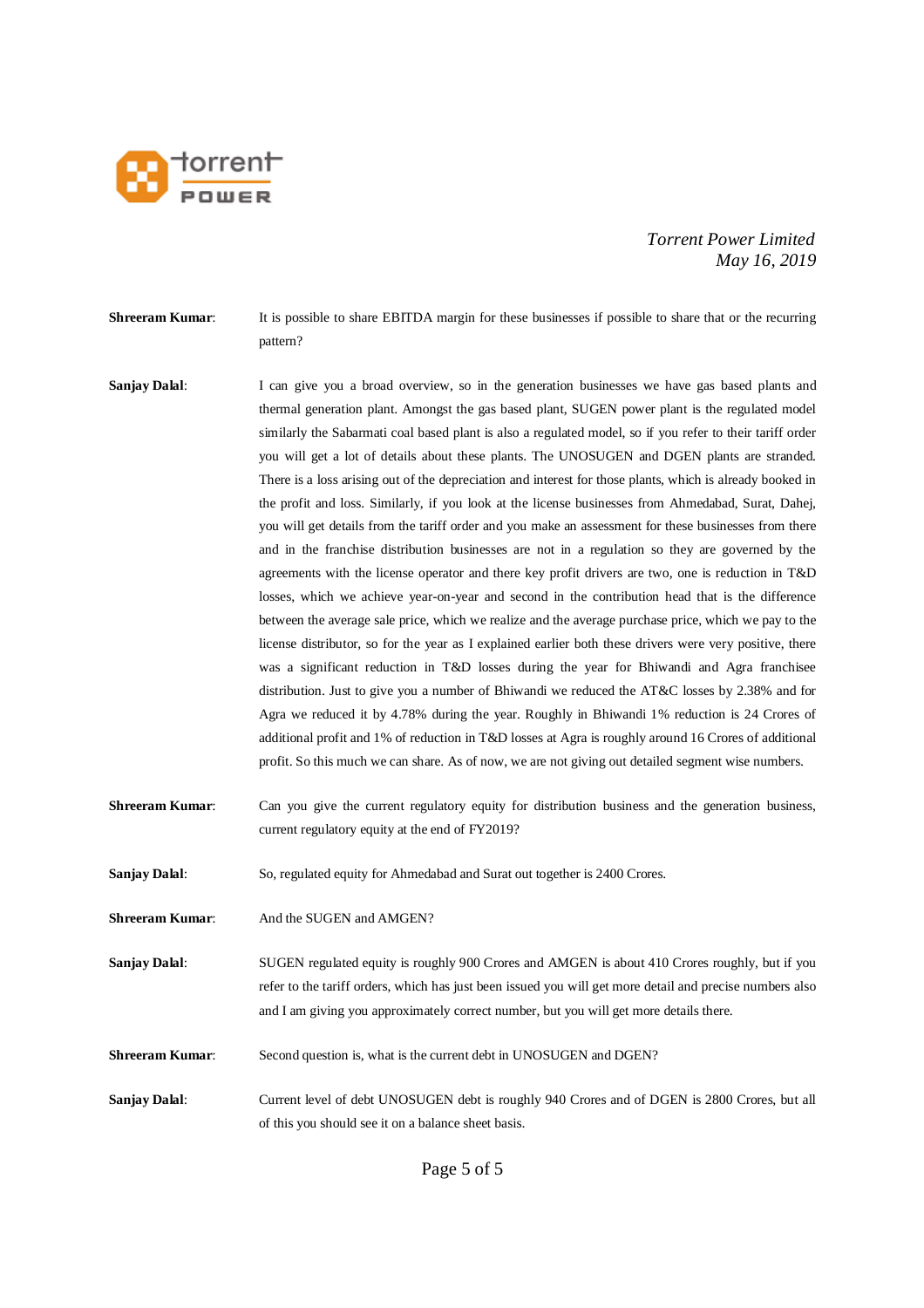

**Shreeram Kumar:** It is possible to share EBITDA margin for these businesses if possible to share that or the recurring pattern?

- **Sanjay Dalal:** I can give you a broad overview, so in the generation businesses we have gas based plants and thermal generation plant. Amongst the gas based plant, SUGEN power plant is the regulated model similarly the Sabarmati coal based plant is also a regulated model, so if you refer to their tariff order you will get a lot of details about these plants. The UNOSUGEN and DGEN plants are stranded. There is a loss arising out of the depreciation and interest for those plants, which is already booked in the profit and loss. Similarly, if you look at the license businesses from Ahmedabad, Surat, Dahej, you will get details from the tariff order and you make an assessment for these businesses from there and in the franchise distribution businesses are not in a regulation so they are governed by the agreements with the license operator and there key profit drivers are two, one is reduction in T&D losses, which we achieve year-on-year and second in the contribution head that is the difference between the average sale price, which we realize and the average purchase price, which we pay to the license distributor, so for the year as I explained earlier both these drivers were very positive, there was a significant reduction in T&D losses during the year for Bhiwandi and Agra franchisee distribution. Just to give you a number of Bhiwandi we reduced the AT&C losses by 2.38% and for Agra we reduced it by 4.78% during the year. Roughly in Bhiwandi 1% reduction is 24 Crores of additional profit and 1% of reduction in T&D losses at Agra is roughly around 16 Crores of additional profit. So this much we can share. As of now, we are not giving out detailed segment wise numbers.
- **Shreeram Kumar:** Can you give the current regulatory equity for distribution business and the generation business, current regulatory equity at the end of FY2019?

**Sanjay Dalal**: So, regulated equity for Ahmedabad and Surat out together is 2400 Crores.

**Shreeram Kumar:** And the SUGEN and AMGEN?

**Sanjay Dalal:** SUGEN regulated equity is roughly 900 Crores and AMGEN is about 410 Crores roughly, but if you refer to the tariff orders, which has just been issued you will get more detail and precise numbers also and I am giving you approximately correct number, but you will get more details there.

**Shreeram Kumar:** Second question is, what is the current debt in UNOSUGEN and DGEN?

**Sanjay Dalal:** Current level of debt UNOSUGEN debt is roughly 940 Crores and of DGEN is 2800 Crores, but all of this you should see it on a balance sheet basis.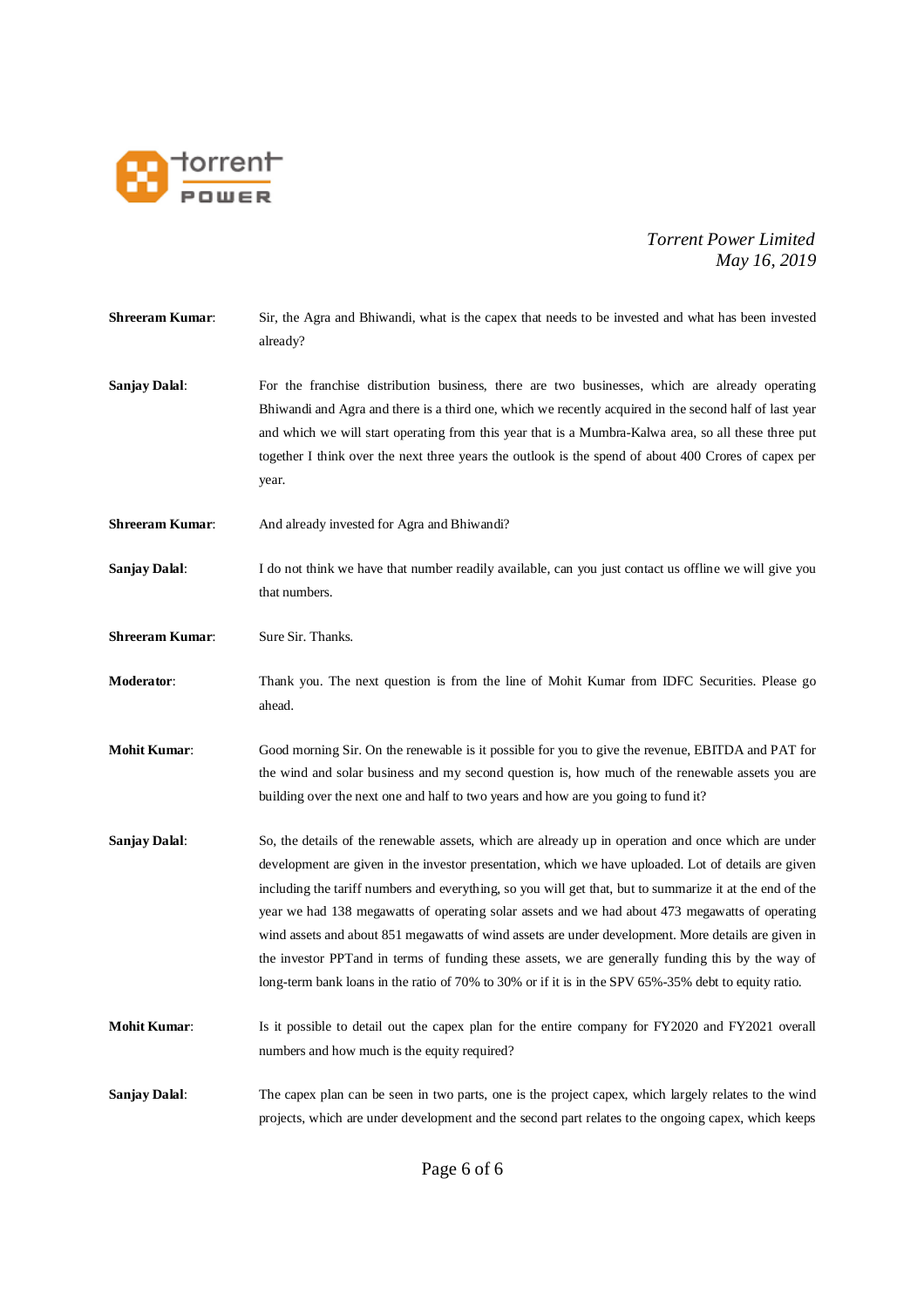

| <b>Shreeram Kumar:</b> | Sir, the Agra and Bhiwandi, what is the capex that needs to be invested and what has been invested<br>already?                                                                                                                                                                                                                                                                                                                                                                                                                                                                                                                                                                                                                                  |
|------------------------|-------------------------------------------------------------------------------------------------------------------------------------------------------------------------------------------------------------------------------------------------------------------------------------------------------------------------------------------------------------------------------------------------------------------------------------------------------------------------------------------------------------------------------------------------------------------------------------------------------------------------------------------------------------------------------------------------------------------------------------------------|
| <b>Sanjay Dalal:</b>   | For the franchise distribution business, there are two businesses, which are already operating<br>Bhiwandi and Agra and there is a third one, which we recently acquired in the second half of last year<br>and which we will start operating from this year that is a Mumbra-Kalwa area, so all these three put<br>together I think over the next three years the outlook is the spend of about 400 Crores of capex per<br>year.                                                                                                                                                                                                                                                                                                               |
| <b>Shreeram Kumar:</b> | And already invested for Agra and Bhiwandi?                                                                                                                                                                                                                                                                                                                                                                                                                                                                                                                                                                                                                                                                                                     |
| <b>Sanjay Dalal:</b>   | I do not think we have that number readily available, can you just contact us offline we will give you<br>that numbers.                                                                                                                                                                                                                                                                                                                                                                                                                                                                                                                                                                                                                         |
| <b>Shreeram Kumar:</b> | Sure Sir. Thanks.                                                                                                                                                                                                                                                                                                                                                                                                                                                                                                                                                                                                                                                                                                                               |
| Moderator:             | Thank you. The next question is from the line of Mohit Kumar from IDFC Securities. Please go<br>ahead.                                                                                                                                                                                                                                                                                                                                                                                                                                                                                                                                                                                                                                          |
| <b>Mohit Kumar:</b>    | Good morning Sir. On the renewable is it possible for you to give the revenue, EBITDA and PAT for<br>the wind and solar business and my second question is, how much of the renewable assets you are<br>building over the next one and half to two years and how are you going to fund it?                                                                                                                                                                                                                                                                                                                                                                                                                                                      |
| <b>Sanjay Dalal:</b>   | So, the details of the renewable assets, which are already up in operation and once which are under<br>development are given in the investor presentation, which we have uploaded. Lot of details are given<br>including the tariff numbers and everything, so you will get that, but to summarize it at the end of the<br>year we had 138 megawatts of operating solar assets and we had about 473 megawatts of operating<br>wind assets and about 851 megawatts of wind assets are under development. More details are given in<br>the investor PPT and in terms of funding these assets, we are generally funding this by the way of<br>long-term bank loans in the ratio of 70% to 30% or if it is in the SPV 65%-35% debt to equity ratio. |
| <b>Mohit Kumar:</b>    | Is it possible to detail out the capex plan for the entire company for FY2020 and FY2021 overall<br>numbers and how much is the equity required?                                                                                                                                                                                                                                                                                                                                                                                                                                                                                                                                                                                                |
| <b>Sanjay Dalal:</b>   | The capex plan can be seen in two parts, one is the project capex, which largely relates to the wind<br>projects, which are under development and the second part relates to the ongoing capex, which keeps                                                                                                                                                                                                                                                                                                                                                                                                                                                                                                                                     |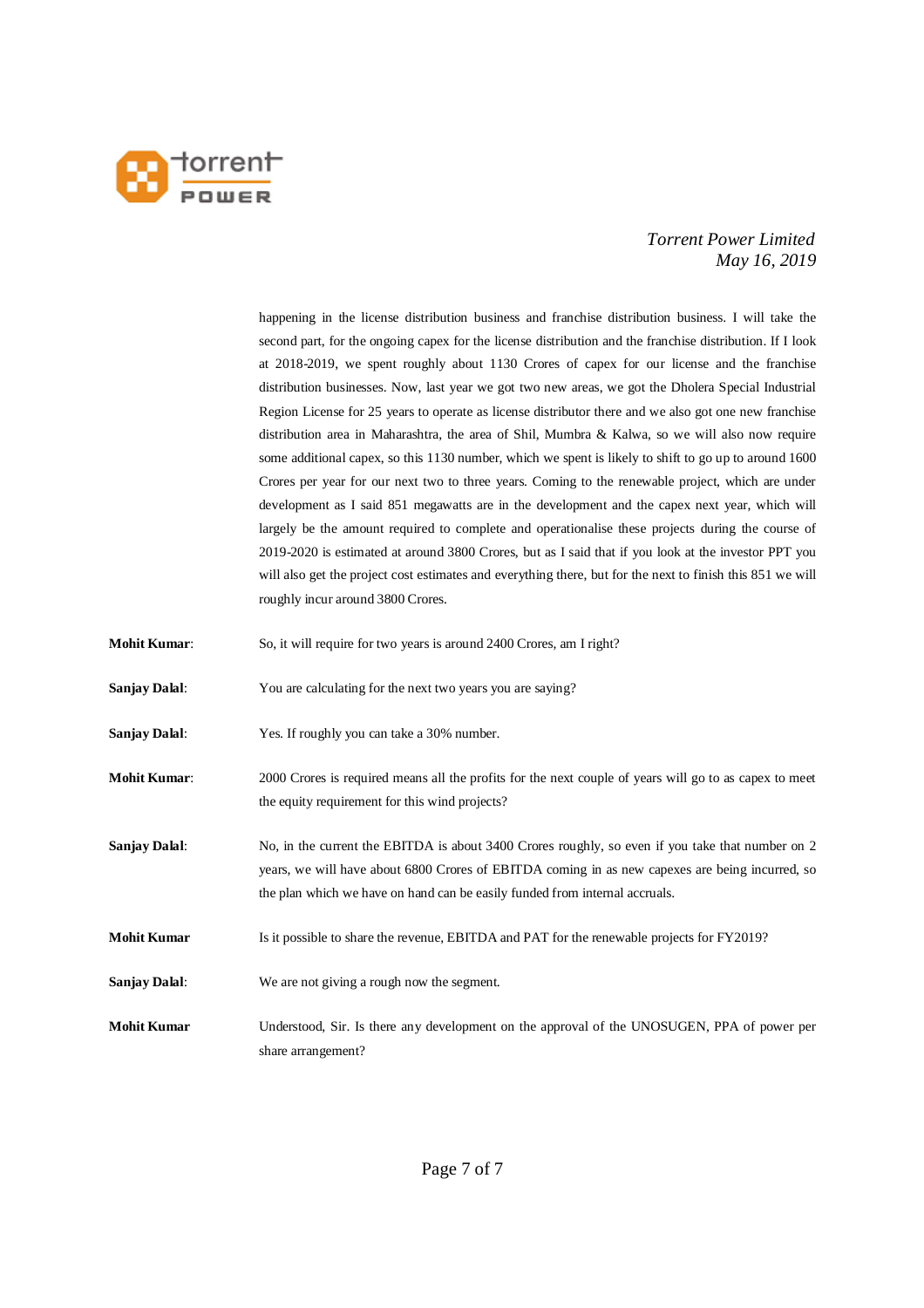

happening in the license distribution business and franchise distribution business. I will take the second part, for the ongoing capex for the license distribution and the franchise distribution. If I look at 2018-2019, we spent roughly about 1130 Crores of capex for our license and the franchise distribution businesses. Now, last year we got two new areas, we got the Dholera Special Industrial Region License for 25 years to operate as license distributor there and we also got one new franchise distribution area in Maharashtra, the area of Shil, Mumbra & Kalwa, so we will also now require some additional capex, so this 1130 number, which we spent is likely to shift to go up to around 1600 Crores per year for our next two to three years. Coming to the renewable project, which are under development as I said 851 megawatts are in the development and the capex next year, which will largely be the amount required to complete and operationalise these projects during the course of 2019-2020 is estimated at around 3800 Crores, but as I said that if you look at the investor PPT you will also get the project cost estimates and everything there, but for the next to finish this 851 we will roughly incur around 3800 Crores.

- **Mohit Kumar:** So, it will require for two years is around 2400 Crores, am I right?
- **Sanjay Dalal:** You are calculating for the next two years you are saying?
- **Sanjay Dalal**: Yes. If roughly you can take a 30% number.
- **Mohit Kumar**: 2000 Crores is required means all the profits for the next couple of years will go to as capex to meet the equity requirement for this wind projects?
- **Sanjay Dalal:** No, in the current the EBITDA is about 3400 Crores roughly, so even if you take that number on 2 years, we will have about 6800 Crores of EBITDA coming in as new capexes are being incurred, so the plan which we have on hand can be easily funded from internal accruals.
- **Mohit Kumar** Is it possible to share the revenue, EBITDA and PAT for the renewable projects for FY2019?
- **Sanjay Dalal**: We are not giving a rough now the segment.
- **Mohit Kumar** Understood, Sir. Is there any development on the approval of the UNOSUGEN, PPA of power per share arrangement?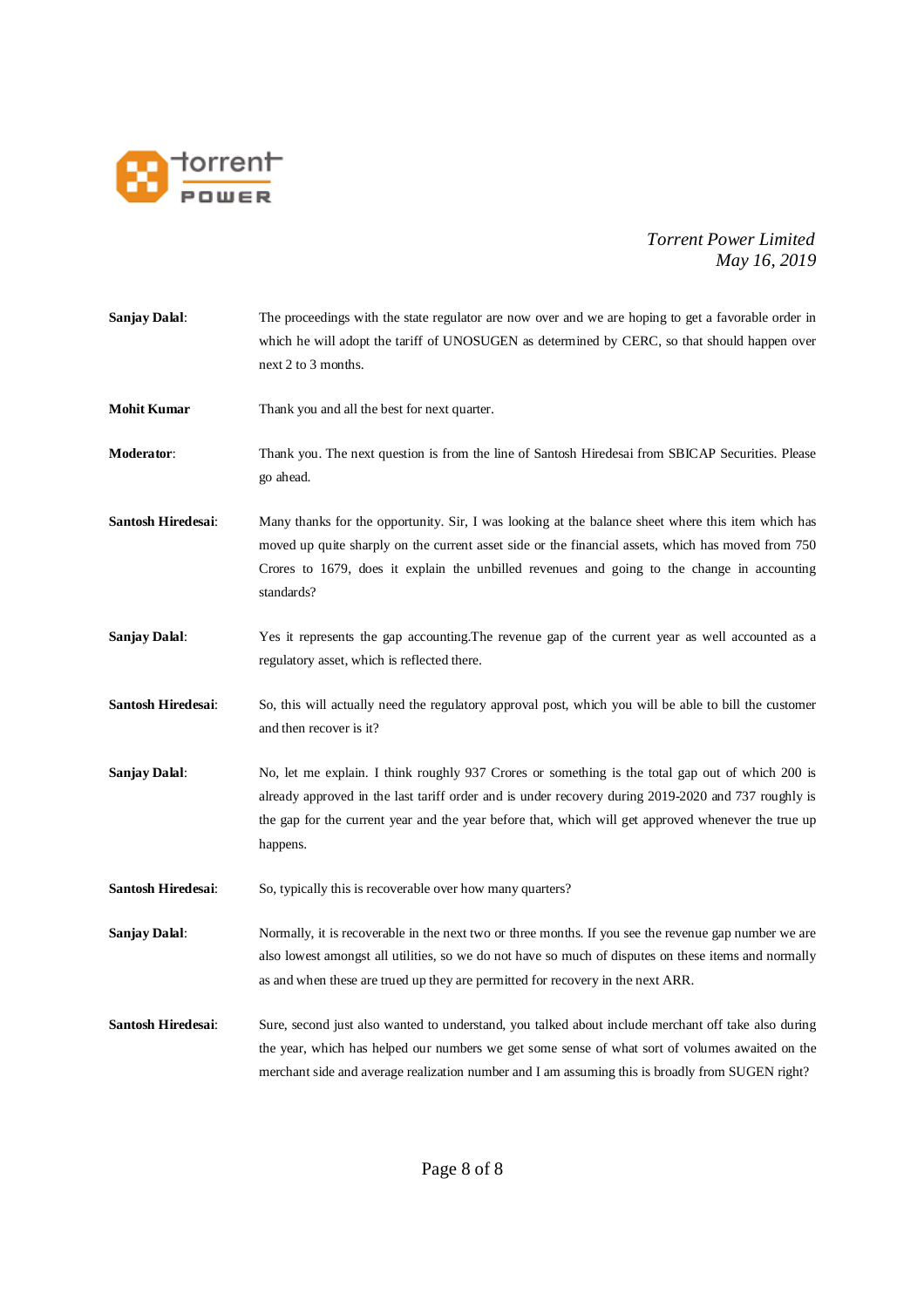

| Sanjay Dalal:        | The proceedings with the state regulator are now over and we are hoping to get a favorable order in<br>which he will adopt the tariff of UNOSUGEN as determined by CERC, so that should happen over<br>next 2 to 3 months.                                                                                                 |
|----------------------|----------------------------------------------------------------------------------------------------------------------------------------------------------------------------------------------------------------------------------------------------------------------------------------------------------------------------|
| <b>Mohit Kumar</b>   | Thank you and all the best for next quarter.                                                                                                                                                                                                                                                                               |
| <b>Moderator:</b>    | Thank you. The next question is from the line of Santosh Hiredesai from SBICAP Securities. Please<br>go ahead.                                                                                                                                                                                                             |
| Santosh Hiredesai:   | Many thanks for the opportunity. Sir, I was looking at the balance sheet where this item which has<br>moved up quite sharply on the current asset side or the financial assets, which has moved from 750<br>Crores to 1679, does it explain the unbilled revenues and going to the change in accounting<br>standards?      |
| <b>Sanjay Dalal:</b> | Yes it represents the gap accounting. The revenue gap of the current year as well accounted as a<br>regulatory asset, which is reflected there.                                                                                                                                                                            |
| Santosh Hiredesai:   | So, this will actually need the regulatory approval post, which you will be able to bill the customer<br>and then recover is it?                                                                                                                                                                                           |
| Sanjay Dalal:        | No, let me explain. I think roughly 937 Crores or something is the total gap out of which 200 is<br>already approved in the last tariff order and is under recovery during 2019-2020 and 737 roughly is<br>the gap for the current year and the year before that, which will get approved whenever the true up<br>happens. |
| Santosh Hiredesai:   | So, typically this is recoverable over how many quarters?                                                                                                                                                                                                                                                                  |
| <b>Sanjay Dalal:</b> | Normally, it is recoverable in the next two or three months. If you see the revenue gap number we are<br>also lowest amongst all utilities, so we do not have so much of disputes on these items and normally<br>as and when these are trued up they are permitted for recovery in the next ARR.                           |
| Santosh Hiredesai:   | Sure, second just also wanted to understand, you talked about include merchant off take also during<br>the year, which has helped our numbers we get some sense of what sort of volumes awaited on the<br>merchant side and average realization number and I am assuming this is broadly from SUGEN right?                 |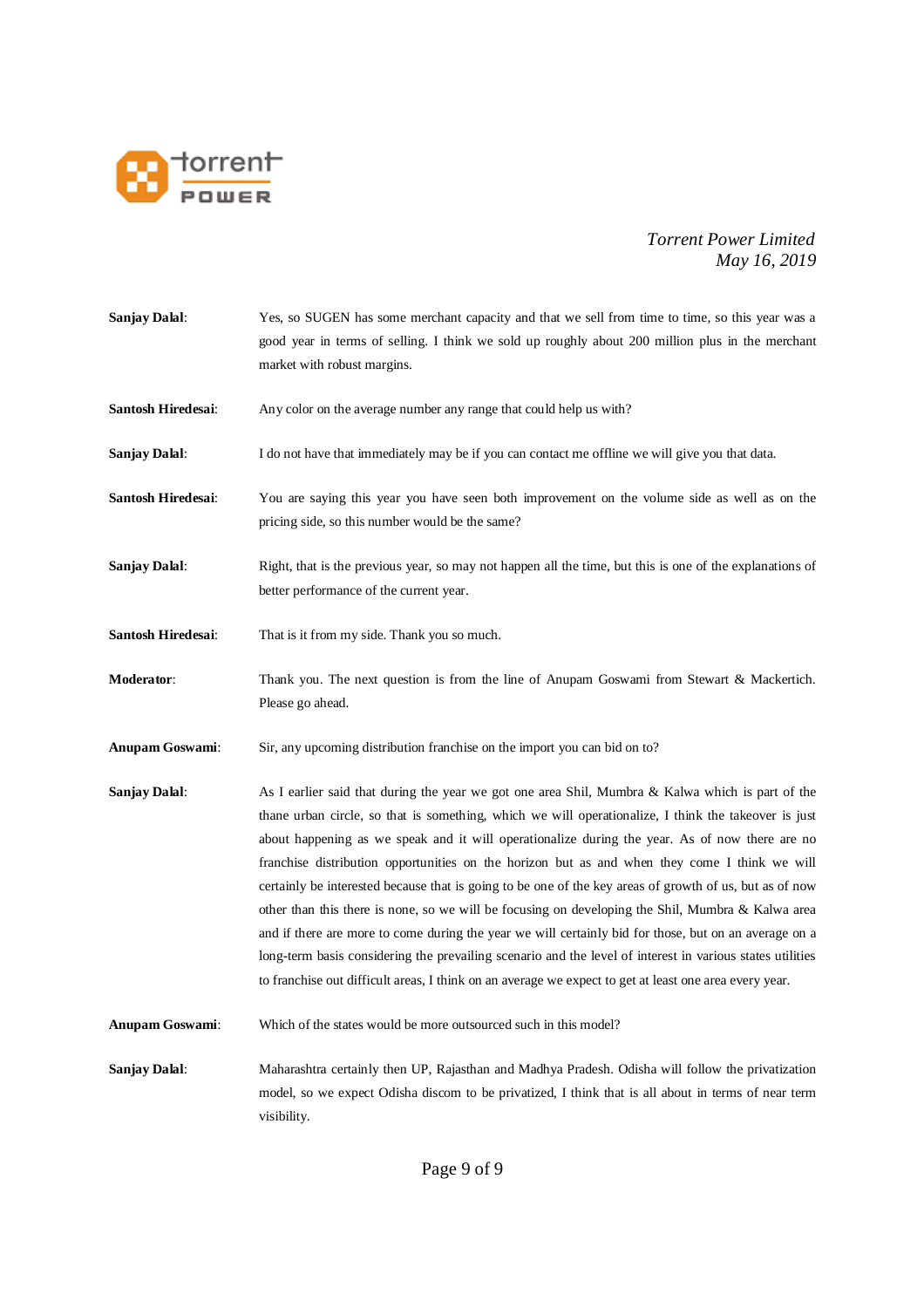

**Sanjay Dalal:** Yes, so SUGEN has some merchant capacity and that we sell from time to time, so this year was a good year in terms of selling. I think we sold up roughly about 200 million plus in the merchant market with robust margins. **Santosh Hiredesai:** Any color on the average number any range that could help us with? **Sanjay Dalal:** I do not have that immediately may be if you can contact me offline we will give you that data. **Santosh Hiredesai**: You are saying this year you have seen both improvement on the volume side as well as on the pricing side, so this number would be the same? **Sanjay Dalal:** Right, that is the previous year, so may not happen all the time, but this is one of the explanations of better performance of the current year. **Santosh Hiredesai**: That is it from my side. Thank you so much. **Moderator**: Thank you. The next question is from the line of Anupam Goswami from Stewart & Mackertich. Please go ahead. **Anupam Goswami**: Sir, any upcoming distribution franchise on the import you can bid on to? **Sanjay Dalal:** As I earlier said that during the year we got one area Shil, Mumbra & Kalwa which is part of the thane urban circle, so that is something, which we will operationalize, I think the takeover is just about happening as we speak and it will operationalize during the year. As of now there are no franchise distribution opportunities on the horizon but as and when they come I think we will certainly be interested because that is going to be one of the key areas of growth of us, but as of now other than this there is none, so we will be focusing on developing the Shil, Mumbra & Kalwa area and if there are more to come during the year we will certainly bid for those, but on an average on a long-term basis considering the prevailing scenario and the level of interest in various states utilities to franchise out difficult areas, I think on an average we expect to get at least one area every year. **Anupam Goswami**: Which of the states would be more outsourced such in this model? **Sanjay Dalal**: Maharashtra certainly then UP, Rajasthan and Madhya Pradesh. Odisha will follow the privatization model, so we expect Odisha discom to be privatized, I think that is all about in terms of near term visibility.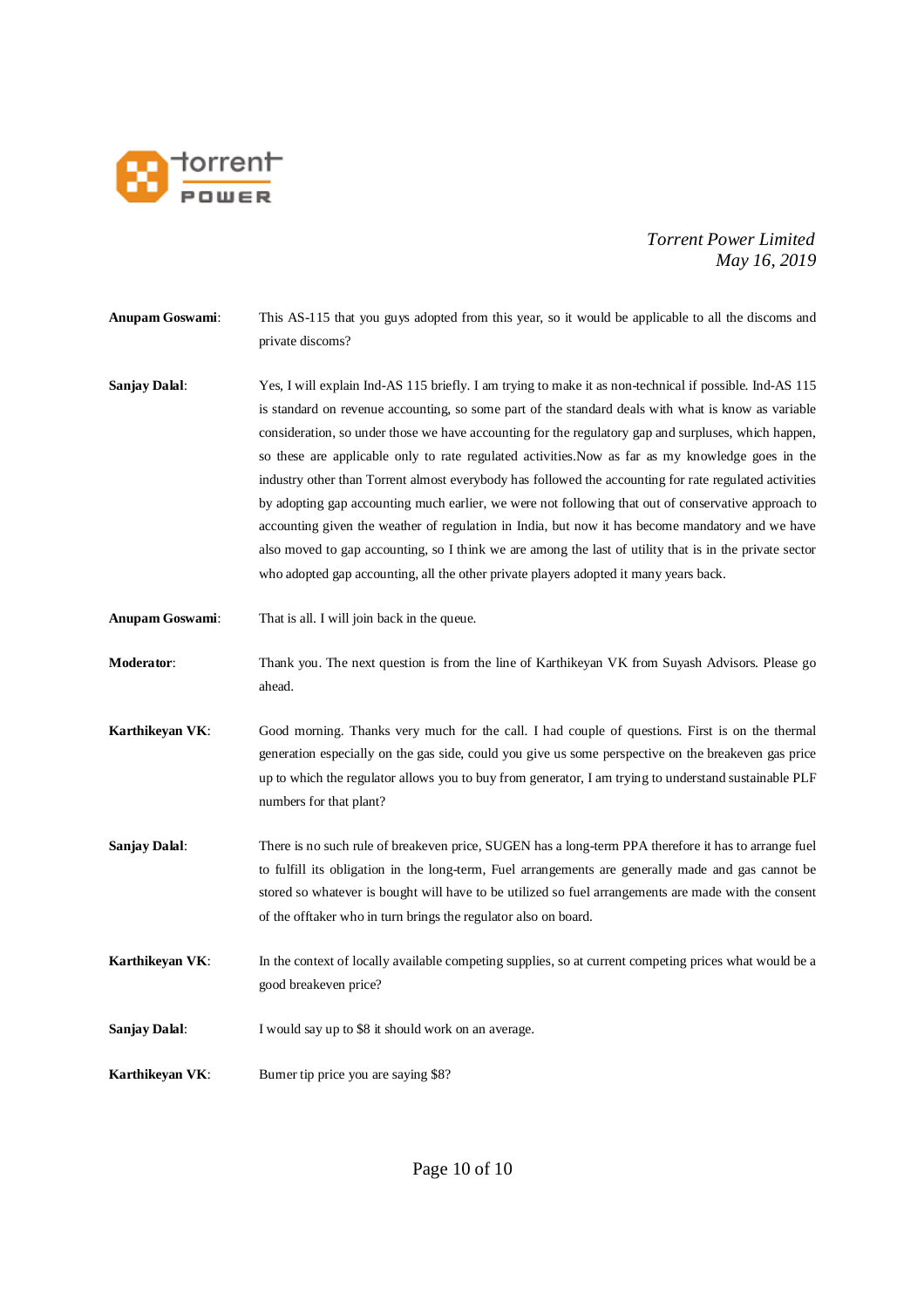

**Anupam Goswami**: This AS-115 that you guys adopted from this year, so it would be applicable to all the discoms and private discoms?

- **Sanjay Dalal**: Yes, I will explain Ind-AS 115 briefly. I am trying to make it as non-technical if possible. Ind-AS 115 is standard on revenue accounting, so some part of the standard deals with what is know as variable consideration, so under those we have accounting for the regulatory gap and surpluses, which happen, so these are applicable only to rate regulated activities.Now as far as my knowledge goes in the industry other than Torrent almost everybody has followed the accounting for rate regulated activities by adopting gap accounting much earlier, we were not following that out of conservative approach to accounting given the weather of regulation in India, but now it has become mandatory and we have also moved to gap accounting, so I think we are among the last of utility that is in the private sector who adopted gap accounting, all the other private players adopted it many years back.
- **Anupam Goswami**: That is all. I will join back in the queue.
- **Moderator**: Thank you. The next question is from the line of Karthikeyan VK from Suyash Advisors. Please go ahead.
- **Karthikeyan VK**: Good morning. Thanks very much for the call. I had couple of questions. First is on the thermal generation especially on the gas side, could you give us some perspective on the breakeven gas price up to which the regulator allows you to buy from generator, I am trying to understand sustainable PLF numbers for that plant?
- **Sanjay Dalal:** There is no such rule of breakeven price, SUGEN has a long-term PPA therefore it has to arrange fuel to fulfill its obligation in the long-term, Fuel arrangements are generally made and gas cannot be stored so whatever is bought will have to be utilized so fuel arrangements are made with the consent of the offtaker who in turn brings the regulator also on board.
- **Karthikeyan VK:** In the context of locally available competing supplies, so at current competing prices what would be a good breakeven price?
- **Sanjay Dalal:** I would say up to \$8 it should work on an average.
- **Karthikeyan VK:** Burner tip price you are saying \$8?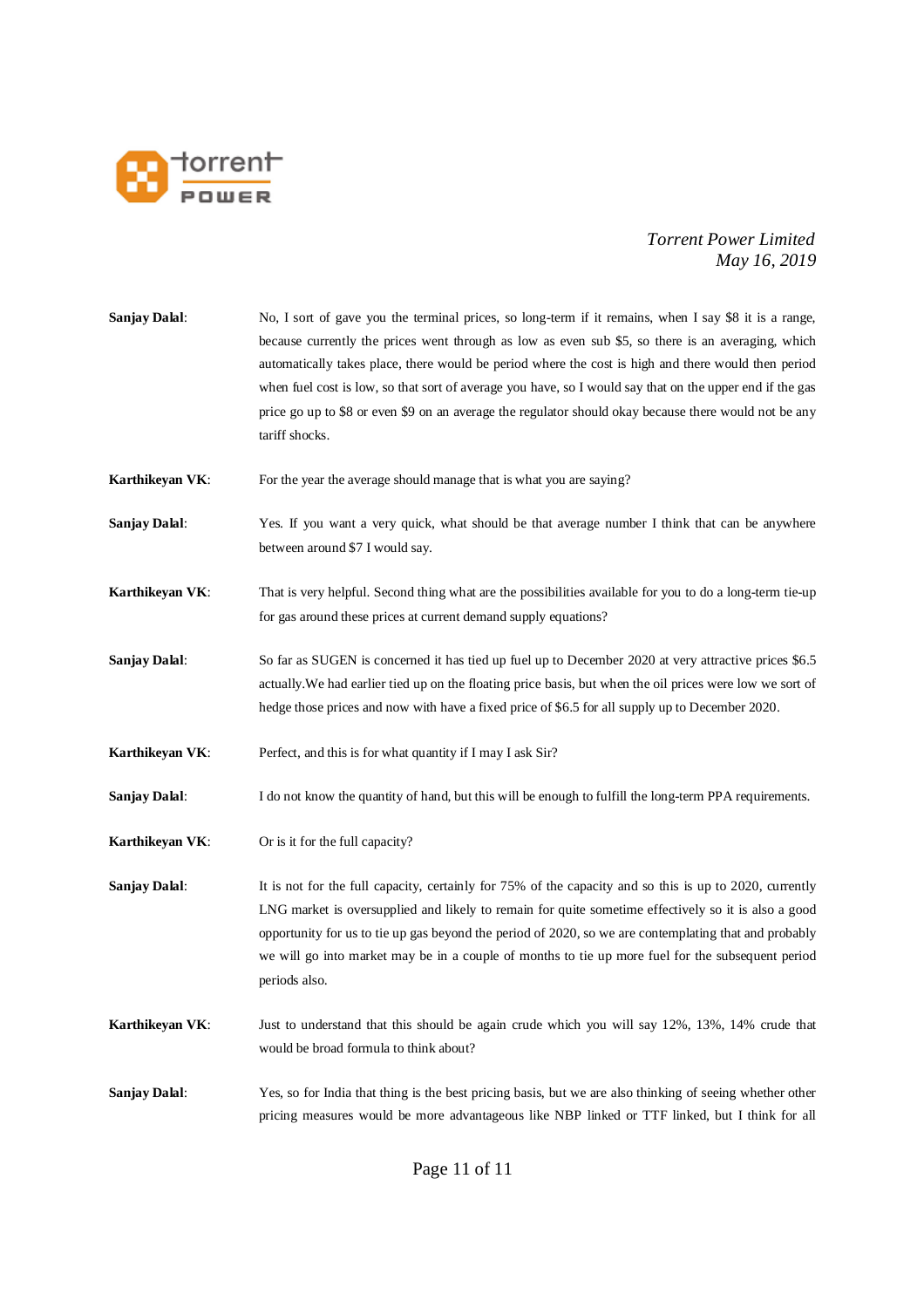

| <b>Sanjay Dalal:</b> | No, I sort of gave you the terminal prices, so long-term if it remains, when I say \$8 it is a range,<br>because currently the prices went through as low as even sub \$5, so there is an averaging, which<br>automatically takes place, there would be period where the cost is high and there would then period<br>when fuel cost is low, so that sort of average you have, so I would say that on the upper end if the gas<br>price go up to \$8 or even \$9 on an average the regulator should okay because there would not be any<br>tariff shocks. |
|----------------------|----------------------------------------------------------------------------------------------------------------------------------------------------------------------------------------------------------------------------------------------------------------------------------------------------------------------------------------------------------------------------------------------------------------------------------------------------------------------------------------------------------------------------------------------------------|
| Karthikeyan VK:      | For the year the average should manage that is what you are saying?                                                                                                                                                                                                                                                                                                                                                                                                                                                                                      |
| <b>Sanjay Dalal:</b> | Yes. If you want a very quick, what should be that average number I think that can be anywhere<br>between around \$7 I would say.                                                                                                                                                                                                                                                                                                                                                                                                                        |
| Karthikeyan VK:      | That is very helpful. Second thing what are the possibilities available for you to do a long-term tie-up<br>for gas around these prices at current demand supply equations?                                                                                                                                                                                                                                                                                                                                                                              |
| <b>Sanjay Dalal:</b> | So far as SUGEN is concerned it has tied up fuel up to December 2020 at very attractive prices \$6.5<br>actually. We had earlier tied up on the floating price basis, but when the oil prices were low we sort of<br>hedge those prices and now with have a fixed price of \$6.5 for all supply up to December 2020.                                                                                                                                                                                                                                     |
| Karthikeyan VK:      | Perfect, and this is for what quantity if I may I ask Sir?                                                                                                                                                                                                                                                                                                                                                                                                                                                                                               |
| <b>Sanjay Dalal:</b> | I do not know the quantity of hand, but this will be enough to fulfill the long-term PPA requirements.                                                                                                                                                                                                                                                                                                                                                                                                                                                   |
| Karthikeyan VK:      | Or is it for the full capacity?                                                                                                                                                                                                                                                                                                                                                                                                                                                                                                                          |
| <b>Sanjay Dalal:</b> | It is not for the full capacity, certainly for 75% of the capacity and so this is up to 2020, currently<br>LNG market is oversupplied and likely to remain for quite sometime effectively so it is also a good<br>opportunity for us to tie up gas beyond the period of 2020, so we are contemplating that and probably<br>we will go into market may be in a couple of months to tie up more fuel for the subsequent period<br>periods also.                                                                                                            |
| Karthikeyan VK:      | Just to understand that this should be again crude which you will say 12%, 13%, 14% crude that<br>would be broad formula to think about?                                                                                                                                                                                                                                                                                                                                                                                                                 |
| <b>Sanjay Dalal:</b> | Yes, so for India that thing is the best pricing basis, but we are also thinking of seeing whether other<br>pricing measures would be more advantageous like NBP linked or TTF linked, but I think for all                                                                                                                                                                                                                                                                                                                                               |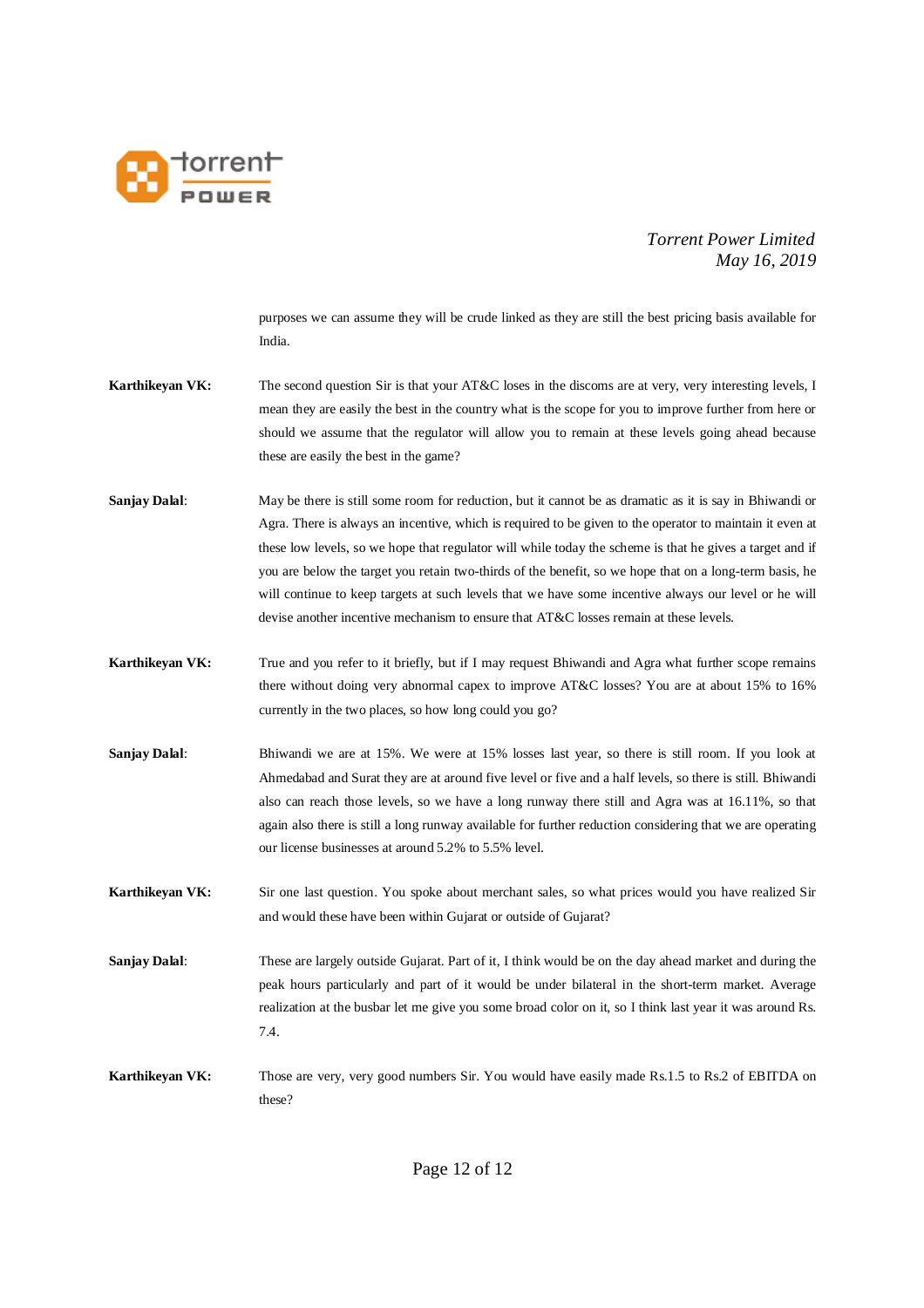

purposes we can assume they will be crude linked as they are still the best pricing basis available for India.

- **Karthikeyan VK:** The second question Sir is that your AT&C loses in the discoms are at very, very interesting levels, I mean they are easily the best in the country what is the scope for you to improve further from here or should we assume that the regulator will allow you to remain at these levels going ahead because these are easily the best in the game?
- **Sanjay Dalal:** May be there is still some room for reduction, but it cannot be as dramatic as it is say in Bhiwandi or Agra. There is always an incentive, which is required to be given to the operator to maintain it even at these low levels, so we hope that regulator will while today the scheme is that he gives a target and if you are below the target you retain two-thirds of the benefit, so we hope that on a long-term basis, he will continue to keep targets at such levels that we have some incentive always our level or he will devise another incentive mechanism to ensure that AT&C losses remain at these levels.
- **Karthikeyan VK:** True and you refer to it briefly, but if I may request Bhiwandi and Agra what further scope remains there without doing very abnormal capex to improve AT&C losses? You are at about 15% to 16% currently in the two places, so how long could you go?
- **Sanjay Dalal:** Bhiwandi we are at 15%. We were at 15% losses last year, so there is still room. If you look at Ahmedabad and Surat they are at around five level or five and a half levels, so there is still. Bhiwandi also can reach those levels, so we have a long runway there still and Agra was at 16.11%, so that again also there is still a long runway available for further reduction considering that we are operating our license businesses at around 5.2% to 5.5% level.

**Karthikeyan VK:** Sir one last question. You spoke about merchant sales, so what prices would you have realized Sir and would these have been within Gujarat or outside of Gujarat?

- **Sanjay Dalal:** These are largely outside Gujarat. Part of it, I think would be on the day ahead market and during the peak hours particularly and part of it would be under bilateral in the short-term market. Average realization at the busbar let me give you some broad color on it, so I think last year it was around Rs. 7.4.
- **Karthikeyan VK:** Those are very, very good numbers Sir. You would have easily made Rs.1.5 to Rs.2 of EBITDA on these?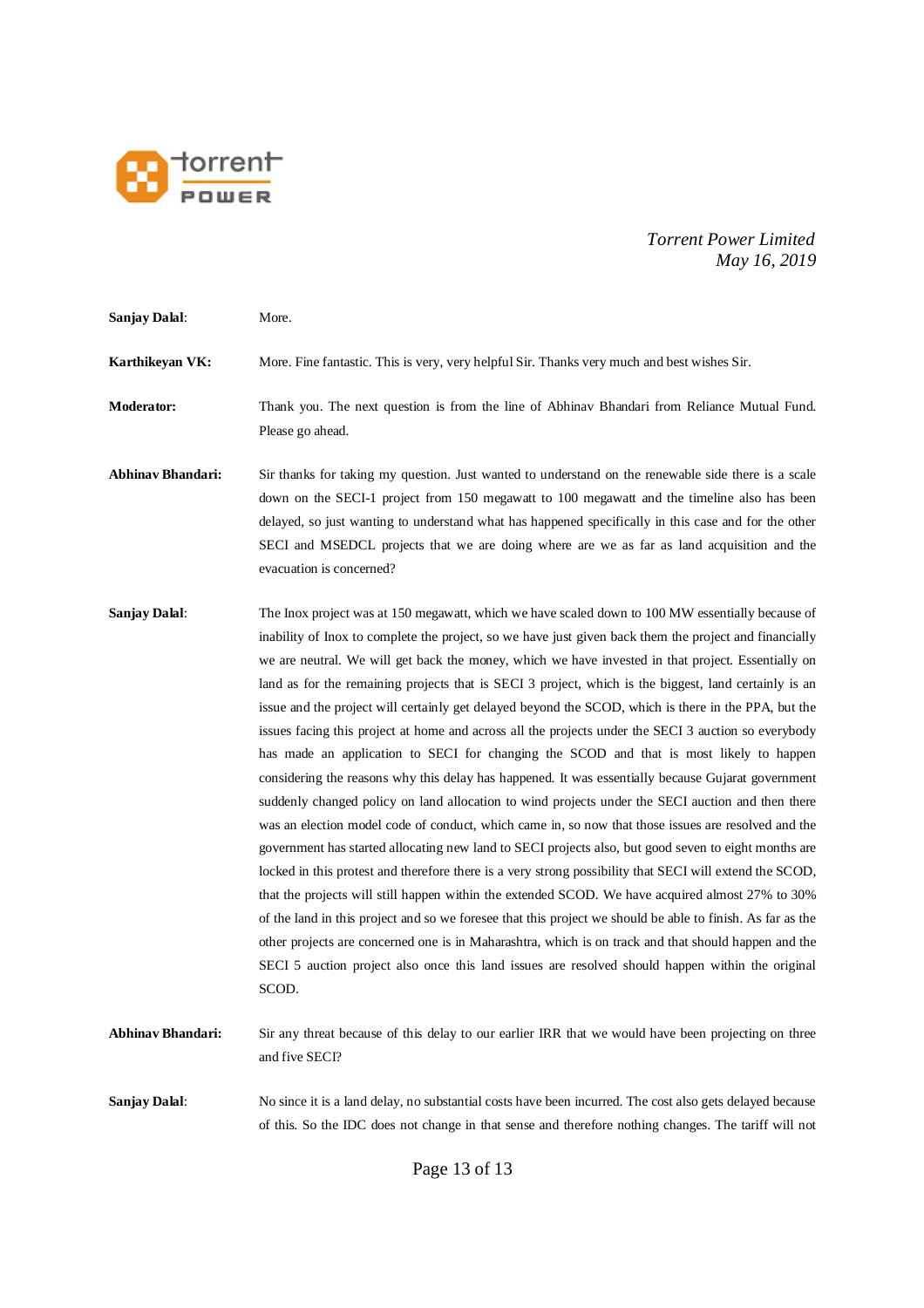

**Sanjay Dalal**: More. **Karthikeyan VK:** More. Fine fantastic. This is very, very helpful Sir. Thanks very much and best wishes Sir. **Moderator:** Thank you. The next question is from the line of Abhinav Bhandari from Reliance Mutual Fund. Please go ahead. **Abhinav Bhandari:** Sir thanks for taking my question. Just wanted to understand on the renewable side there is a scale down on the SECI-1 project from 150 megawatt to 100 megawatt and the timeline also has been delayed, so just wanting to understand what has happened specifically in this case and for the other SECI and MSEDCL projects that we are doing where are we as far as land acquisition and the evacuation is concerned? **Sanjay Dalal**: The Inox project was at 150 megawatt, which we have scaled down to 100 MW essentially because of inability of Inox to complete the project, so we have just given back them the project and financially we are neutral. We will get back the money, which we have invested in that project. Essentially on land as for the remaining projects that is SECI 3 project, which is the biggest, land certainly is an issue and the project will certainly get delayed beyond the SCOD, which is there in the PPA, but the issues facing this project at home and across all the projects under the SECI 3 auction so everybody has made an application to SECI for changing the SCOD and that is most likely to happen considering the reasons why this delay has happened. It was essentially because Gujarat government suddenly changed policy on land allocation to wind projects under the SECI auction and then there was an election model code of conduct, which came in, so now that those issues are resolved and the government has started allocating new land to SECI projects also, but good seven to eight months are locked in this protest and therefore there is a very strong possibility that SECI will extend the SCOD, that the projects will still happen within the extended SCOD. We have acquired almost 27% to 30% of the land in this project and so we foresee that this project we should be able to finish. As far as the other projects are concerned one is in Maharashtra, which is on track and that should happen and the SECI 5 auction project also once this land issues are resolved should happen within the original SCOD. **Abhinav Bhandari:** Sir any threat because of this delay to our earlier IRR that we would have been projecting on three and five SECI? **Sanjay Dalal:** No since it is a land delay, no substantial costs have been incurred. The cost also gets delayed because of this. So the IDC does not change in that sense and therefore nothing changes. The tariff will not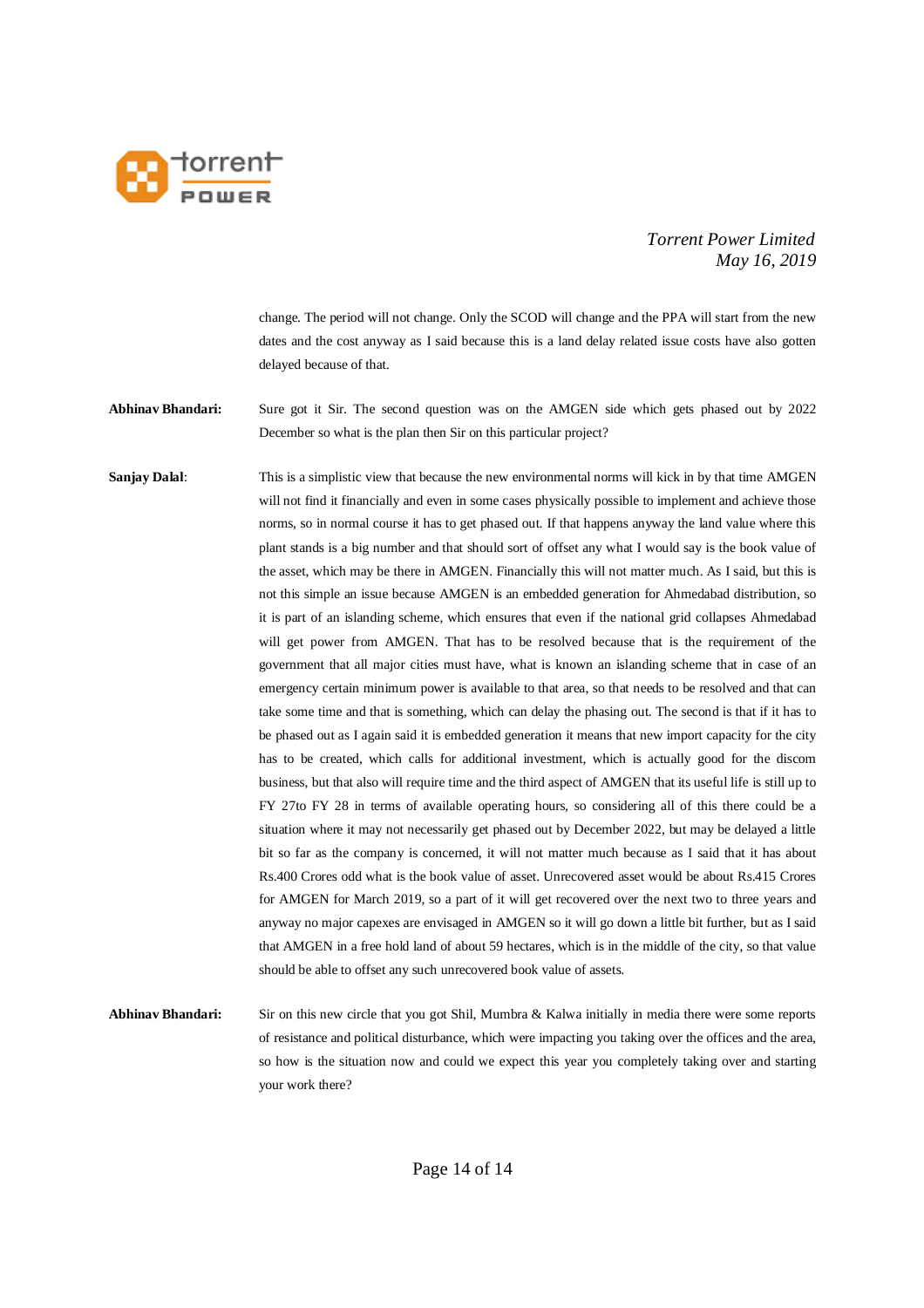

change. The period will not change. Only the SCOD will change and the PPA will start from the new dates and the cost anyway as I said because this is a land delay related issue costs have also gotten delayed because of that.

**Abhinav Bhandari:** Sure got it Sir. The second question was on the AMGEN side which gets phased out by 2022 December so what is the plan then Sir on this particular project?

**Sanjay Dalal:** This is a simplistic view that because the new environmental norms will kick in by that time AMGEN will not find it financially and even in some cases physically possible to implement and achieve those norms, so in normal course it has to get phased out. If that happens anyway the land value where this plant stands is a big number and that should sort of offset any what I would say is the book value of the asset, which may be there in AMGEN. Financially this will not matter much. As I said, but this is not this simple an issue because AMGEN is an embedded generation for Ahmedabad distribution, so it is part of an islanding scheme, which ensures that even if the national grid collapses Ahmedabad will get power from AMGEN. That has to be resolved because that is the requirement of the government that all major cities must have, what is known an islanding scheme that in case of an emergency certain minimum power is available to that area, so that needs to be resolved and that can take some time and that is something, which can delay the phasing out. The second is that if it has to be phased out as I again said it is embedded generation it means that new import capacity for the city has to be created, which calls for additional investment, which is actually good for the discom business, but that also will require time and the third aspect of AMGEN that its useful life is still up to FY 27to FY 28 in terms of available operating hours, so considering all of this there could be a situation where it may not necessarily get phased out by December 2022, but may be delayed a little bit so far as the company is concerned, it will not matter much because as I said that it has about Rs.400 Crores odd what is the book value of asset. Unrecovered asset would be about Rs.415 Crores for AMGEN for March 2019, so a part of it will get recovered over the next two to three years and anyway no major capexes are envisaged in AMGEN so it will go down a little bit further, but as I said that AMGEN in a free hold land of about 59 hectares, which is in the middle of the city, so that value should be able to offset any such unrecovered book value of assets.

**Abhinav Bhandari:** Sir on this new circle that you got Shil, Mumbra & Kalwa initially in media there were some reports of resistance and political disturbance, which were impacting you taking over the offices and the area, so how is the situation now and could we expect this year you completely taking over and starting your work there?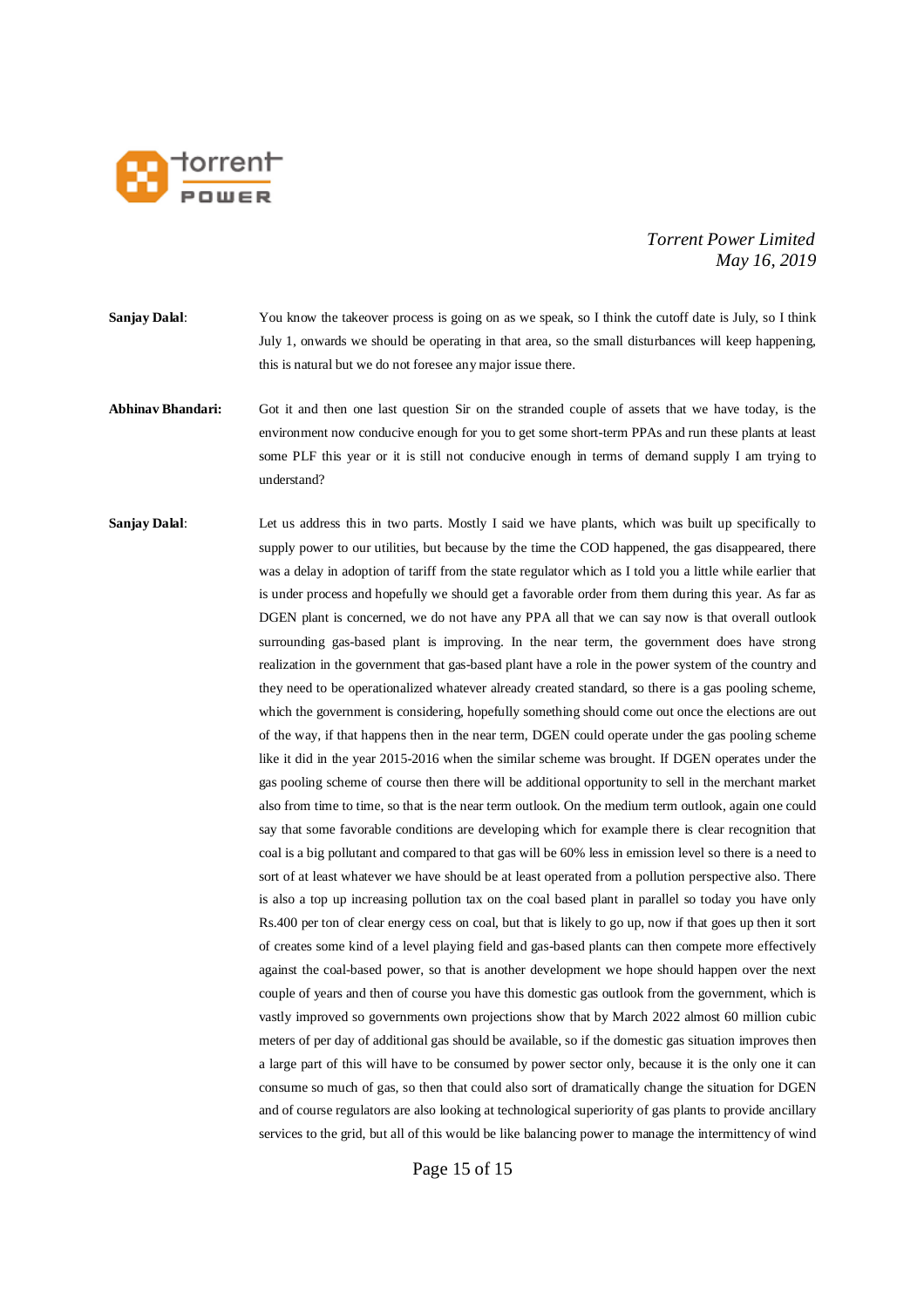

**Sanjay Dalal:** You know the takeover process is going on as we speak, so I think the cutoff date is July, so I think July 1, onwards we should be operating in that area, so the small disturbances will keep happening, this is natural but we do not foresee any major issue there.

- **Abhinav Bhandari:** Got it and then one last question Sir on the stranded couple of assets that we have today, is the environment now conducive enough for you to get some short-term PPAs and run these plants at least some PLF this year or it is still not conducive enough in terms of demand supply I am trying to understand?
- **Sanjay Dalal:** Let us address this in two parts. Mostly I said we have plants, which was built up specifically to supply power to our utilities, but because by the time the COD happened, the gas disappeared, there was a delay in adoption of tariff from the state regulator which as I told you a little while earlier that is under process and hopefully we should get a favorable order from them during this year. As far as DGEN plant is concerned, we do not have any PPA all that we can say now is that overall outlook surrounding gas-based plant is improving. In the near term, the government does have strong realization in the government that gas-based plant have a role in the power system of the country and they need to be operationalized whatever already created standard, so there is a gas pooling scheme, which the government is considering, hopefully something should come out once the elections are out of the way, if that happens then in the near term, DGEN could operate under the gas pooling scheme like it did in the year 2015-2016 when the similar scheme was brought. If DGEN operates under the gas pooling scheme of course then there will be additional opportunity to sell in the merchant market also from time to time, so that is the near term outlook. On the medium term outlook, again one could say that some favorable conditions are developing which for example there is clear recognition that coal is a big pollutant and compared to that gas will be 60% less in emission level so there is a need to sort of at least whatever we have should be at least operated from a pollution perspective also. There is also a top up increasing pollution tax on the coal based plant in parallel so today you have only Rs.400 per ton of clear energy cess on coal, but that is likely to go up, now if that goes up then it sort of creates some kind of a level playing field and gas-based plants can then compete more effectively against the coal-based power, so that is another development we hope should happen over the next couple of years and then of course you have this domestic gas outlook from the government, which is vastly improved so governments own projections show that by March 2022 almost 60 million cubic meters of per day of additional gas should be available, so if the domestic gas situation improves then a large part of this will have to be consumed by power sector only, because it is the only one it can consume so much of gas, so then that could also sort of dramatically change the situation for DGEN and of course regulators are also looking at technological superiority of gas plants to provide ancillary services to the grid, but all of this would be like balancing power to manage the intermittency of wind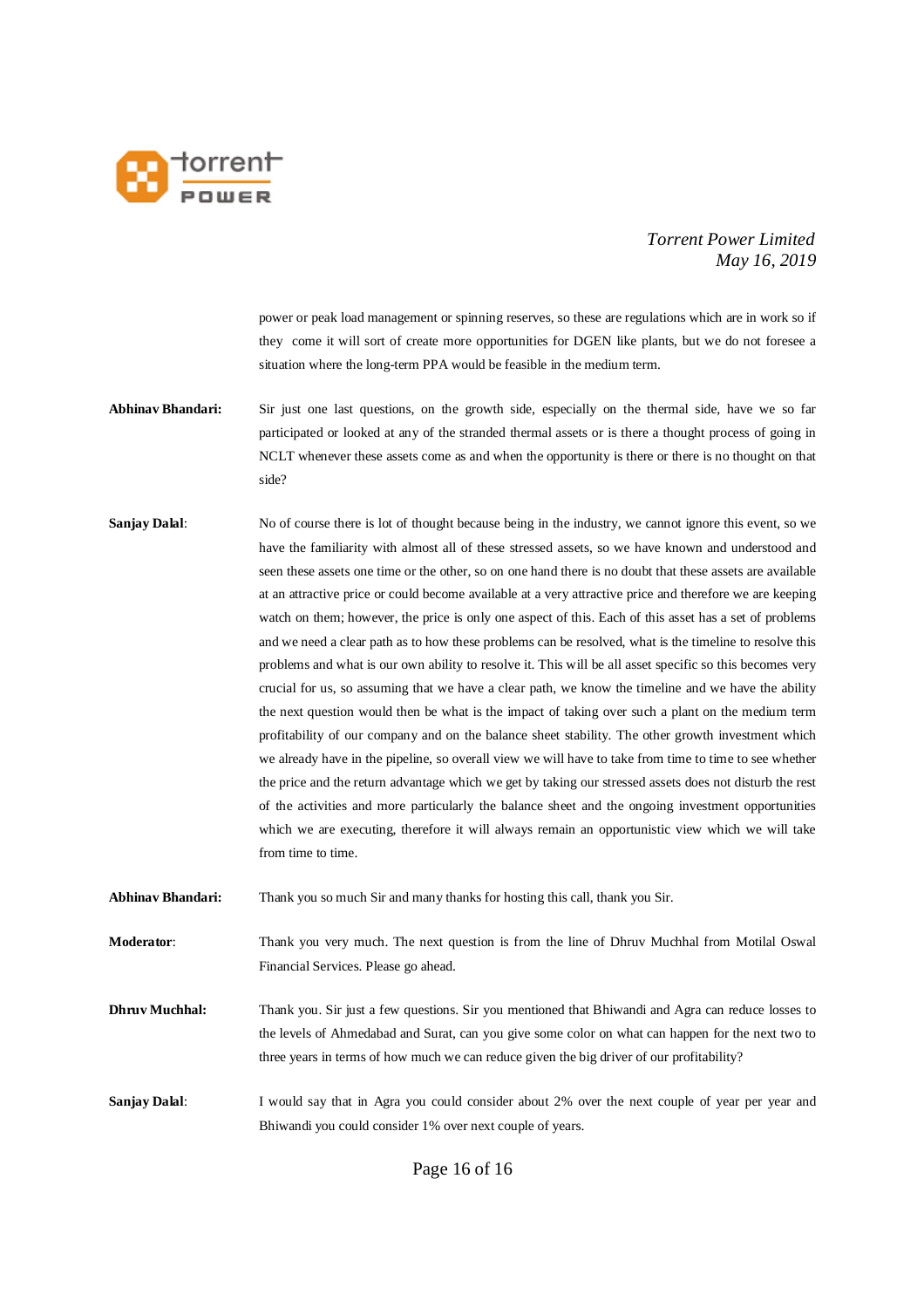

power or peak load management or spinning reserves, so these are regulations which are in work so if they come it will sort of create more opportunities for DGEN like plants, but we do not foresee a situation where the long-term PPA would be feasible in the medium term.

- **Abhinav Bhandari:** Sir just one last questions, on the growth side, especially on the thermal side, have we so far participated or looked at any of the stranded thermal assets or is there a thought process of going in NCLT whenever these assets come as and when the opportunity is there or there is no thought on that side?
- **Sanjay Dalal:** No of course there is lot of thought because being in the industry, we cannot ignore this event, so we have the familiarity with almost all of these stressed assets, so we have known and understood and seen these assets one time or the other, so on one hand there is no doubt that these assets are available at an attractive price or could become available at a very attractive price and therefore we are keeping watch on them; however, the price is only one aspect of this. Each of this asset has a set of problems and we need a clear path as to how these problems can be resolved, what is the timeline to resolve this problems and what is our own ability to resolve it. This will be all asset specific so this becomes very crucial for us, so assuming that we have a clear path, we know the timeline and we have the ability the next question would then be what is the impact of taking over such a plant on the medium term profitability of our company and on the balance sheet stability. The other growth investment which we already have in the pipeline, so overall view we will have to take from time to time to see whether the price and the return advantage which we get by taking our stressed assets does not disturb the rest of the activities and more particularly the balance sheet and the ongoing investment opportunities which we are executing, therefore it will always remain an opportunistic view which we will take from time to time.
- **Abhinav Bhandari:** Thank you so much Sir and many thanks for hosting this call, thank you Sir.

**Moderator**: Thank you very much. The next question is from the line of Dhruv Muchhal from Motilal Oswal Financial Services. Please go ahead.

- **Dhruv Muchhal:** Thank you. Sir just a few questions. Sir you mentioned that Bhiwandi and Agra can reduce losses to the levels of Ahmedabad and Surat, can you give some color on what can happen for the next two to three years in terms of how much we can reduce given the big driver of our profitability?
- **Sanjay Dalal:** I would say that in Agra you could consider about 2% over the next couple of year per year and Bhiwandi you could consider 1% over next couple of years.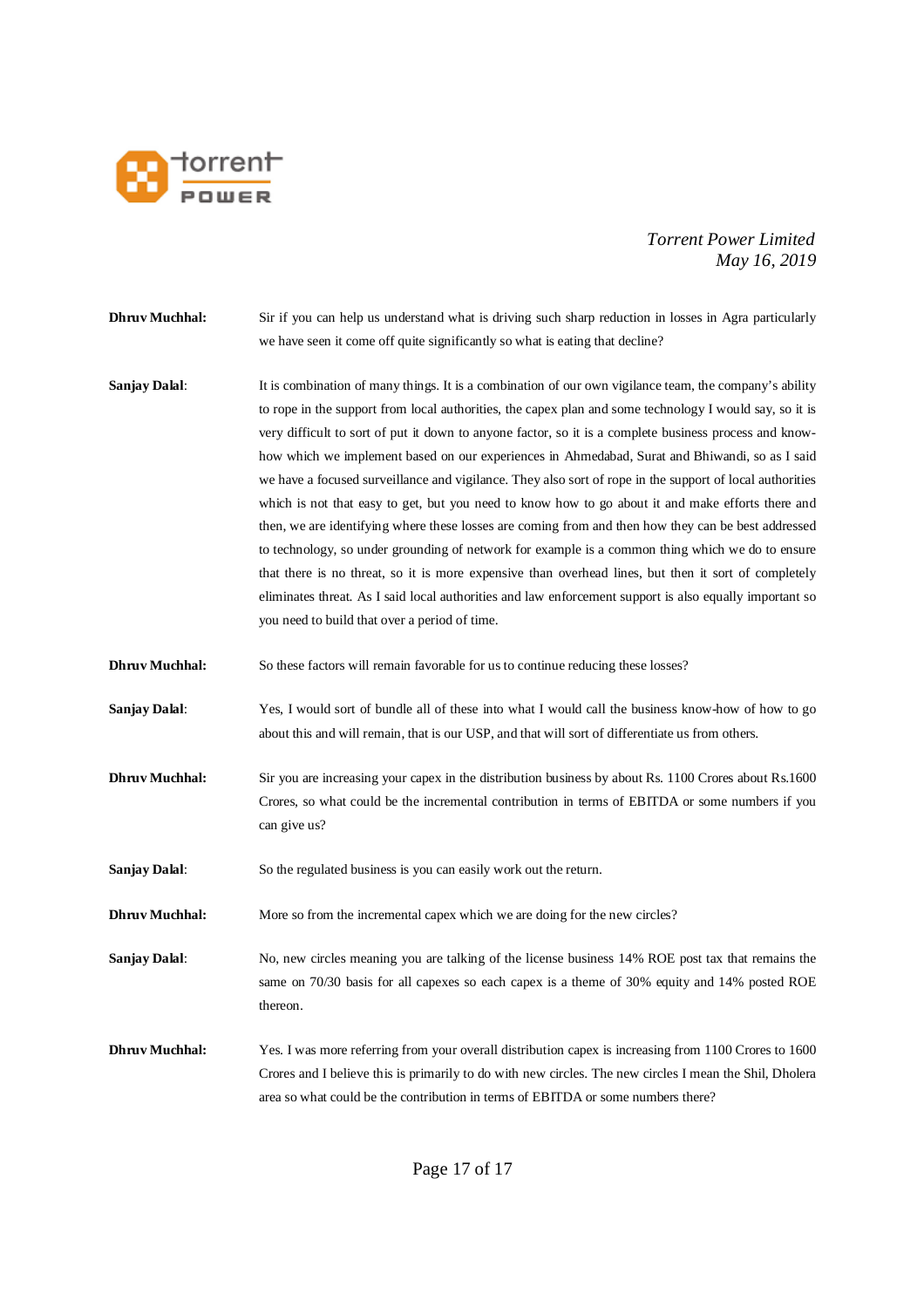

- **Dhruv Muchhal:** Sir if you can help us understand what is driving such sharp reduction in losses in Agra particularly we have seen it come off quite significantly so what is eating that decline?
- **Sanjay Dalal:** It is combination of many things. It is a combination of our own vigilance team, the company's ability to rope in the support from local authorities, the capex plan and some technology I would say, so it is very difficult to sort of put it down to anyone factor, so it is a complete business process and knowhow which we implement based on our experiences in Ahmedabad, Surat and Bhiwandi, so as I said we have a focused surveillance and vigilance. They also sort of rope in the support of local authorities which is not that easy to get, but you need to know how to go about it and make efforts there and then, we are identifying where these losses are coming from and then how they can be best addressed to technology, so under grounding of network for example is a common thing which we do to ensure that there is no threat, so it is more expensive than overhead lines, but then it sort of completely eliminates threat. As I said local authorities and law enforcement support is also equally important so you need to build that over a period of time.
- **Dhruv Muchhal:** So these factors will remain favorable for us to continue reducing these losses?
- **Sanjay Dalal:** Yes, I would sort of bundle all of these into what I would call the business know-how of how to go about this and will remain, that is our USP, and that will sort of differentiate us from others.
- **Dhruv Muchhal:** Sir you are increasing your capex in the distribution business by about Rs. 1100 Crores about Rs.1600 Crores, so what could be the incremental contribution in terms of EBITDA or some numbers if you can give us?
- **Sanjay Dalal:** So the regulated business is you can easily work out the return.
- **Dhruv Muchhal:** More so from the incremental capex which we are doing for the new circles?

**Sanjay Dalal:** No, new circles meaning you are talking of the license business 14% ROE post tax that remains the same on 70/30 basis for all capexes so each capex is a theme of 30% equity and 14% posted ROE thereon.

**Dhruv Muchhal:** Yes. I was more referring from your overall distribution capex is increasing from 1100 Crores to 1600 Crores and I believe this is primarily to do with new circles. The new circles I mean the Shil, Dholera area so what could be the contribution in terms of EBITDA or some numbers there?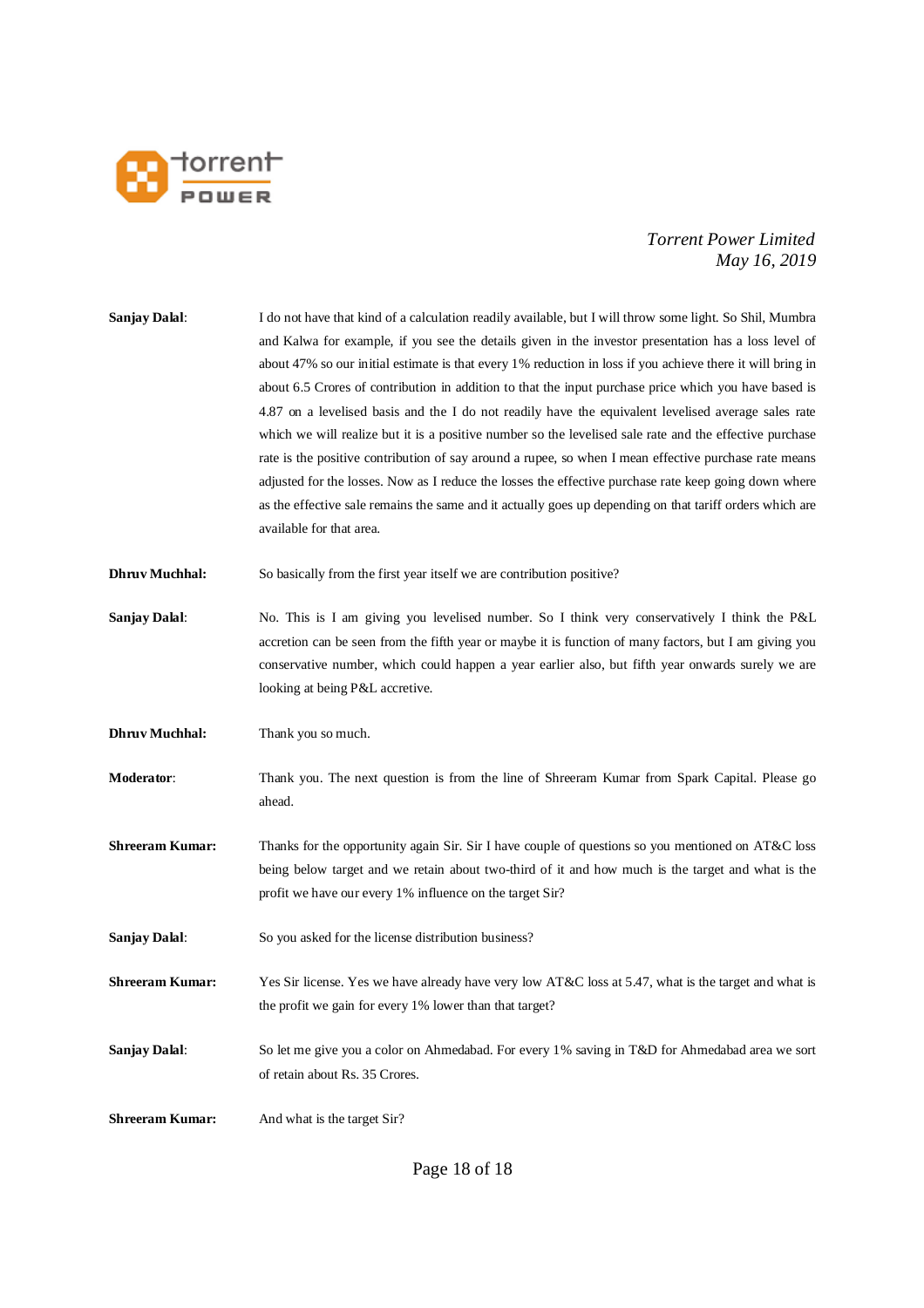

| <b>Sanjay Dalal:</b>   | I do not have that kind of a calculation readily available, but I will throw some light. So Shil, Mumbra<br>and Kalwa for example, if you see the details given in the investor presentation has a loss level of<br>about 47% so our initial estimate is that every 1% reduction in loss if you achieve there it will bring in<br>about 6.5 Crores of contribution in addition to that the input purchase price which you have based is<br>4.87 on a levelised basis and the I do not readily have the equivalent levelised average sales rate<br>which we will realize but it is a positive number so the levelised sale rate and the effective purchase<br>rate is the positive contribution of say around a rupee, so when I mean effective purchase rate means<br>adjusted for the losses. Now as I reduce the losses the effective purchase rate keep going down where<br>as the effective sale remains the same and it actually goes up depending on that tariff orders which are<br>available for that area. |
|------------------------|---------------------------------------------------------------------------------------------------------------------------------------------------------------------------------------------------------------------------------------------------------------------------------------------------------------------------------------------------------------------------------------------------------------------------------------------------------------------------------------------------------------------------------------------------------------------------------------------------------------------------------------------------------------------------------------------------------------------------------------------------------------------------------------------------------------------------------------------------------------------------------------------------------------------------------------------------------------------------------------------------------------------|
| <b>Dhruv Muchhal:</b>  | So basically from the first year itself we are contribution positive?                                                                                                                                                                                                                                                                                                                                                                                                                                                                                                                                                                                                                                                                                                                                                                                                                                                                                                                                               |
| <b>Sanjay Dalal:</b>   | No. This is I am giving you levelised number. So I think very conservatively I think the P&L<br>accretion can be seen from the fifth year or maybe it is function of many factors, but I am giving you<br>conservative number, which could happen a year earlier also, but fifth year onwards surely we are<br>looking at being P&L accretive.                                                                                                                                                                                                                                                                                                                                                                                                                                                                                                                                                                                                                                                                      |
| <b>Dhruv Muchhal:</b>  | Thank you so much.                                                                                                                                                                                                                                                                                                                                                                                                                                                                                                                                                                                                                                                                                                                                                                                                                                                                                                                                                                                                  |
| Moderator:             | Thank you. The next question is from the line of Shreeram Kumar from Spark Capital. Please go<br>ahead.                                                                                                                                                                                                                                                                                                                                                                                                                                                                                                                                                                                                                                                                                                                                                                                                                                                                                                             |
| <b>Shreeram Kumar:</b> | Thanks for the opportunity again Sir. Sir I have couple of questions so you mentioned on AT&C loss<br>being below target and we retain about two-third of it and how much is the target and what is the<br>profit we have our every 1% influence on the target Sir?                                                                                                                                                                                                                                                                                                                                                                                                                                                                                                                                                                                                                                                                                                                                                 |
| <b>Sanjay Dalal:</b>   | So you asked for the license distribution business?                                                                                                                                                                                                                                                                                                                                                                                                                                                                                                                                                                                                                                                                                                                                                                                                                                                                                                                                                                 |
| <b>Shreeram Kumar:</b> | Yes Sir license. Yes we have already have very low AT&C loss at 5.47, what is the target and what is<br>the profit we gain for every 1% lower than that target?                                                                                                                                                                                                                                                                                                                                                                                                                                                                                                                                                                                                                                                                                                                                                                                                                                                     |
| <b>Sanjay Dalal:</b>   | So let me give you a color on Ahmedabad. For every 1% saving in T&D for Ahmedabad area we sort<br>of retain about Rs. 35 Crores.                                                                                                                                                                                                                                                                                                                                                                                                                                                                                                                                                                                                                                                                                                                                                                                                                                                                                    |
| <b>Shreeram Kumar:</b> | And what is the target Sir?                                                                                                                                                                                                                                                                                                                                                                                                                                                                                                                                                                                                                                                                                                                                                                                                                                                                                                                                                                                         |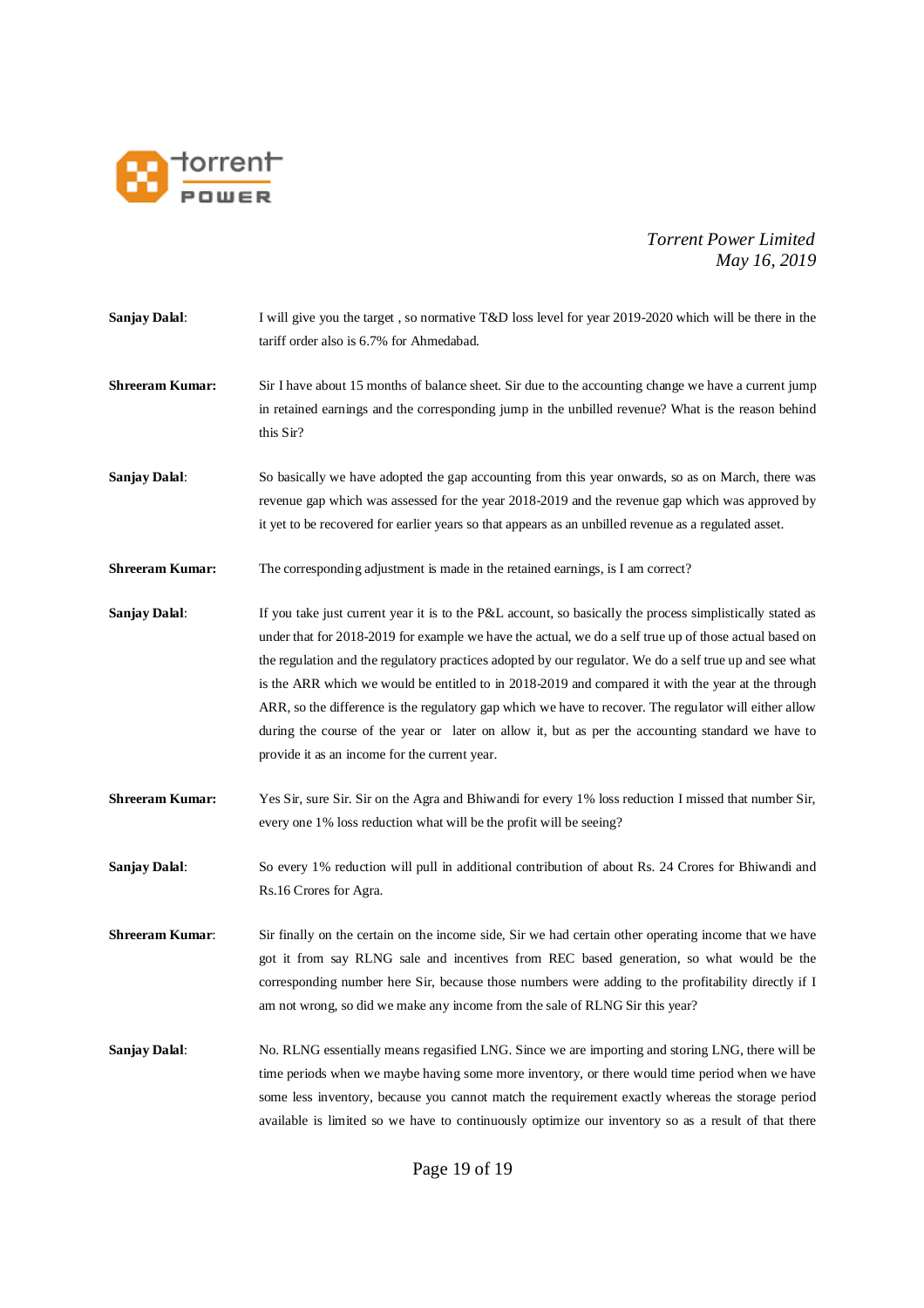

- **Sanjay Dalal:** I will give you the target , so normative T&D loss level for year 2019-2020 which will be there in the tariff order also is 6.7% for Ahmedabad.
- **Shreeram Kumar:** Sir I have about 15 months of balance sheet. Sir due to the accounting change we have a current jump in retained earnings and the corresponding jump in the unbilled revenue? What is the reason behind this Sir?
- **Sanjay Dalal:** So basically we have adopted the gap accounting from this year onwards, so as on March, there was revenue gap which was assessed for the year 2018-2019 and the revenue gap which was approved by it yet to be recovered for earlier years so that appears as an unbilled revenue as a regulated asset.
- **Shreeram Kumar:** The corresponding adjustment is made in the retained earnings, is I am correct?
- **Sanjay Dalal:** If you take just current year it is to the P&L account, so basically the process simplistically stated as under that for 2018-2019 for example we have the actual, we do a self true up of those actual based on the regulation and the regulatory practices adopted by our regulator. We do a self true up and see what is the ARR which we would be entitled to in 2018-2019 and compared it with the year at the through ARR, so the difference is the regulatory gap which we have to recover. The regulator will either allow during the course of the year or later on allow it, but as per the accounting standard we have to provide it as an income for the current year.
- **Shreeram Kumar:** Yes Sir, sure Sir. Sir on the Agra and Bhiwandi for every 1% loss reduction I missed that number Sir, every one 1% loss reduction what will be the profit will be seeing?
- **Sanjay Dalal:** So every 1% reduction will pull in additional contribution of about Rs. 24 Crores for Bhiwandi and Rs.16 Crores for Agra.
- **Shreeram Kumar**: Sir finally on the certain on the income side, Sir we had certain other operating income that we have got it from say RLNG sale and incentives from REC based generation, so what would be the corresponding number here Sir, because those numbers were adding to the profitability directly if I am not wrong, so did we make any income from the sale of RLNG Sir this year?

**Sanjay Dalal:** No. RLNG essentially means regasified LNG. Since we are importing and storing LNG, there will be time periods when we maybe having some more inventory, or there would time period when we have some less inventory, because you cannot match the requirement exactly whereas the storage period available is limited so we have to continuously optimize our inventory so as a result of that there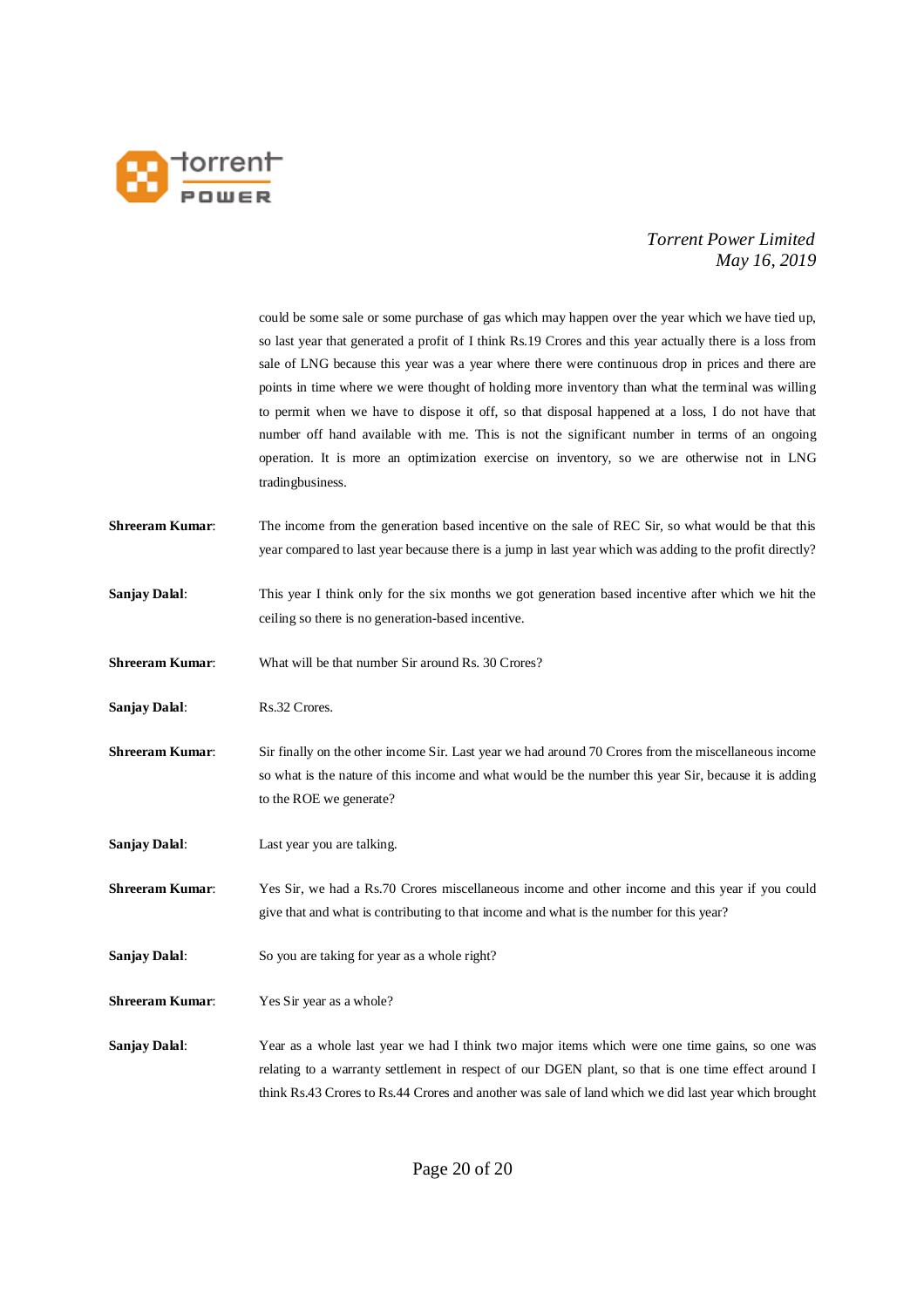

|                        | could be some sale or some purchase of gas which may happen over the year which we have tied up,         |
|------------------------|----------------------------------------------------------------------------------------------------------|
|                        | so last year that generated a profit of I think Rs.19 Crores and this year actually there is a loss from |
|                        | sale of LNG because this year was a year where there were continuous drop in prices and there are        |
|                        | points in time where we were thought of holding more inventory than what the terminal was willing        |
|                        | to permit when we have to dispose it off, so that disposal happened at a loss, I do not have that        |
|                        |                                                                                                          |
|                        | number off hand available with me. This is not the significant number in terms of an ongoing             |
|                        | operation. It is more an optimization exercise on inventory, so we are otherwise not in LNG              |
|                        | tradingbusiness.                                                                                         |
| <b>Shreeram Kumar:</b> | The income from the generation based incentive on the sale of REC Sir, so what would be that this        |
|                        |                                                                                                          |
|                        | year compared to last year because there is a jump in last year which was adding to the profit directly? |
| Sanjay Dalal:          | This year I think only for the six months we got generation based incentive after which we hit the       |
|                        | ceiling so there is no generation-based incentive.                                                       |
|                        |                                                                                                          |
| <b>Shreeram Kumar:</b> | What will be that number Sir around Rs. 30 Crores?                                                       |
|                        |                                                                                                          |
| Sanjay Dalal:          | Rs.32 Crores.                                                                                            |
|                        |                                                                                                          |
| <b>Shreeram Kumar:</b> | Sir finally on the other income Sir. Last year we had around 70 Crores from the miscellaneous income     |
|                        | so what is the nature of this income and what would be the number this year Sir, because it is adding    |
|                        | to the ROE we generate?                                                                                  |
|                        |                                                                                                          |
| Sanjay Dalal:          | Last year you are talking.                                                                               |
| <b>Shreeram Kumar:</b> | Yes Sir, we had a Rs.70 Crores miscellaneous income and other income and this year if you could          |
|                        | give that and what is contributing to that income and what is the number for this year?                  |
|                        |                                                                                                          |
| <b>Sanjay Dalal:</b>   | So you are taking for year as a whole right?                                                             |
|                        |                                                                                                          |
| <b>Shreeram Kumar:</b> | Yes Sir year as a whole?                                                                                 |
|                        |                                                                                                          |
| Sanjay Dalal:          | Year as a whole last year we had I think two major items which were one time gains, so one was           |
|                        | relating to a warranty settlement in respect of our DGEN plant, so that is one time effect around I      |
|                        | think Rs.43 Crores to Rs.44 Crores and another was sale of land which we did last year which brought     |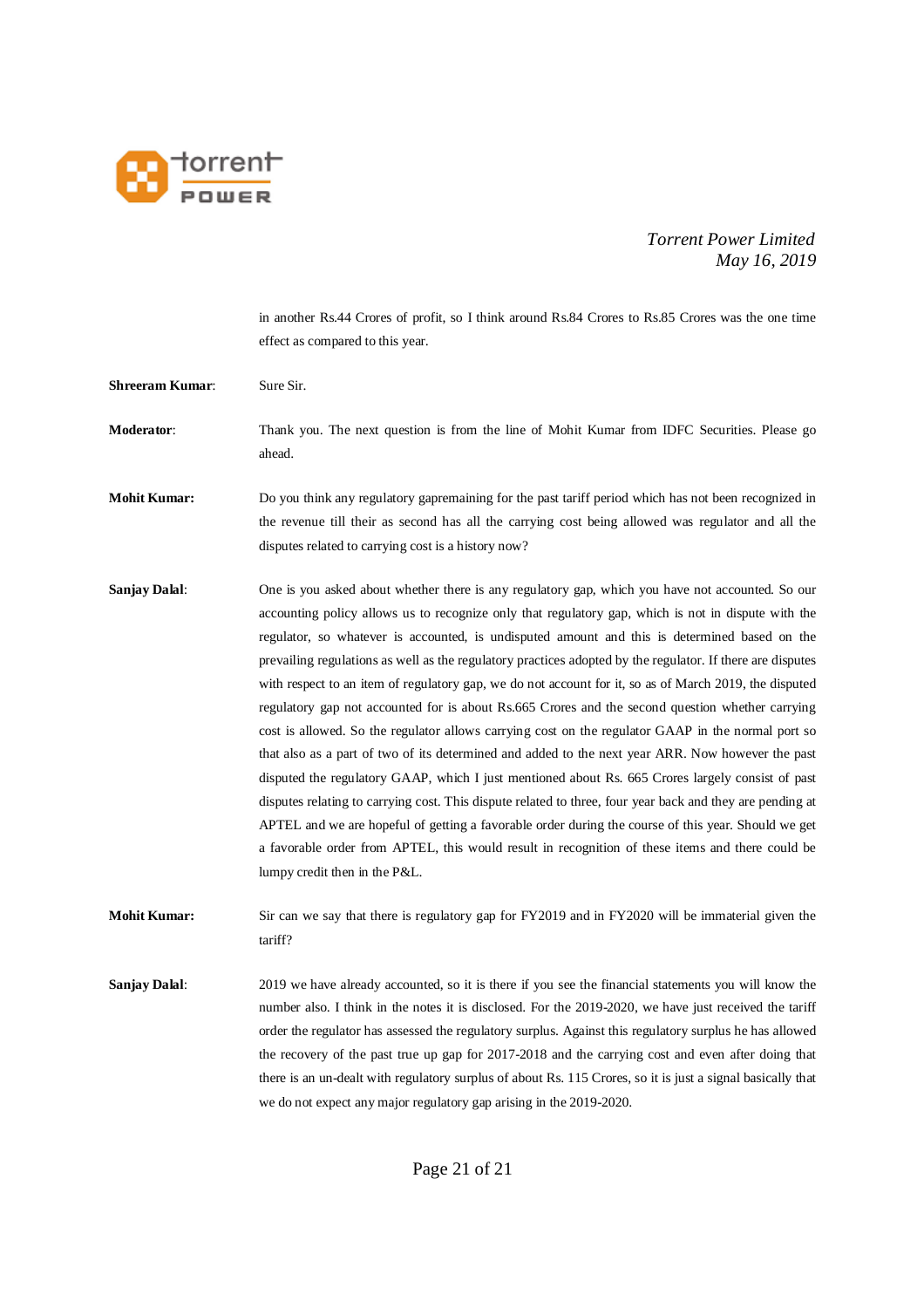

in another Rs.44 Crores of profit, so I think around Rs.84 Crores to Rs.85 Crores was the one time effect as compared to this year.

- **Shreeram Kumar:** Sure Sir.
- **Moderator:** Thank you. The next question is from the line of Mohit Kumar from IDFC Securities. Please go ahead.
- **Mohit Kumar:** Do you think any regulatory gapremaining for the past tariff period which has not been recognized in the revenue till their as second has all the carrying cost being allowed was regulator and all the disputes related to carrying cost is a history now?
- **Sanjay Dalal:** One is you asked about whether there is any regulatory gap, which you have not accounted. So our accounting policy allows us to recognize only that regulatory gap, which is not in dispute with the regulator, so whatever is accounted, is undisputed amount and this is determined based on the prevailing regulations as well as the regulatory practices adopted by the regulator. If there are disputes with respect to an item of regulatory gap, we do not account for it, so as of March 2019, the disputed regulatory gap not accounted for is about Rs.665 Crores and the second question whether carrying cost is allowed. So the regulator allows carrying cost on the regulator GAAP in the normal port so that also as a part of two of its determined and added to the next year ARR. Now however the past disputed the regulatory GAAP, which I just mentioned about Rs. 665 Crores largely consist of past disputes relating to carrying cost. This dispute related to three, four year back and they are pending at APTEL and we are hopeful of getting a favorable order during the course of this year. Should we get a favorable order from APTEL, this would result in recognition of these items and there could be lumpy credit then in the P&L.

**Mohit Kumar:** Sir can we say that there is regulatory gap for FY2019 and in FY2020 will be immaterial given the tariff?

**Sanjay Dalal:** 2019 we have already accounted, so it is there if you see the financial statements you will know the number also. I think in the notes it is disclosed. For the 2019-2020, we have just received the tariff order the regulator has assessed the regulatory surplus. Against this regulatory surplus he has allowed the recovery of the past true up gap for 2017-2018 and the carrying cost and even after doing that there is an un-dealt with regulatory surplus of about Rs. 115 Crores, so it is just a signal basically that we do not expect any major regulatory gap arising in the 2019-2020.